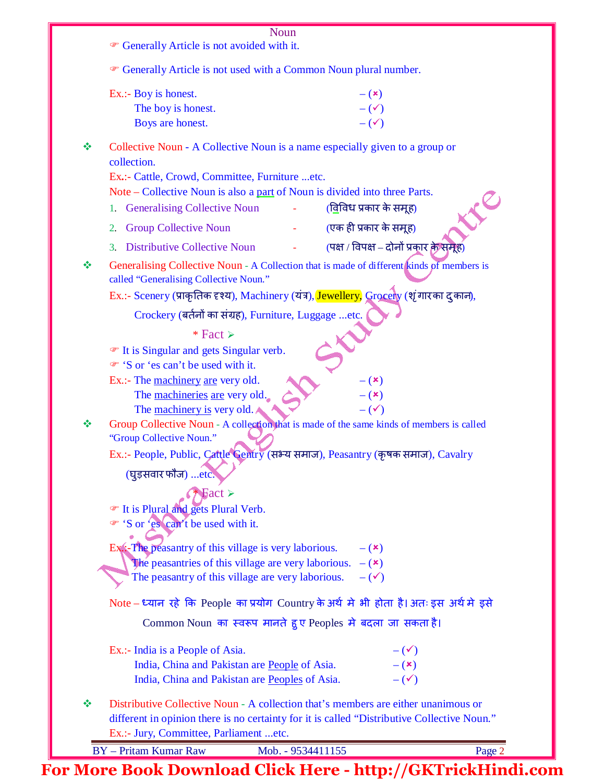|   | Noun                                                                                                                                                                                                                                                                                            |
|---|-------------------------------------------------------------------------------------------------------------------------------------------------------------------------------------------------------------------------------------------------------------------------------------------------|
|   | Generally Article is not avoided with it.                                                                                                                                                                                                                                                       |
|   | <sup>T</sup> Generally Article is not used with a Common Noun plural number.                                                                                                                                                                                                                    |
|   | Ex.:- Boy is honest.<br>$ (x)$                                                                                                                                                                                                                                                                  |
|   | The boy is honest.<br>$-(\checkmark)$                                                                                                                                                                                                                                                           |
|   | $-(\checkmark)$<br>Boys are honest.                                                                                                                                                                                                                                                             |
| ❖ | Collective Noun - A Collective Noun is a name especially given to a group or<br>collection.<br>Ex.:- Cattle, Crowd, Committee, Furniture etc.<br>Note – Collective Noun is also a part of Noun is divided into three Parts.<br><u>(विविध प्रकार के समूह)</u><br>1. Generalising Collective Noun |
|   | (एक ही प्रकार के समूह)<br><b>Group Collective Noun</b><br>2.                                                                                                                                                                                                                                    |
|   | (पक्ष / विपक्ष – दोनों प्रकार के समूह)<br><b>Distributive Collective Noun</b><br>3.                                                                                                                                                                                                             |
| ÷ | Generalising Collective Noun - A Collection that is made of different kinds of members is<br>called "Generalising Collective Noun."<br>Ex.:- Scenery (प्राकृतिक दृश्य), Machinery (यंत्र), Jewellery, Grocery (शृंगारका द् कान),                                                                |
|   | Crockery (बर्तनों का संग्रह), Furniture, Luggage etc.                                                                                                                                                                                                                                           |
|   | * Fact $\triangleright$                                                                                                                                                                                                                                                                         |
|   | ☞ It is Singular and gets Singular verb.<br>Sor 'es can't be used with it.                                                                                                                                                                                                                      |
|   | Ex.:- The machinery are very old.<br>$-$ ( $\mathbf{x})$<br>The machineries are very old.<br>$ (x)$<br>The <u>machinery is</u> very old.<br>$-(\checkmark)$                                                                                                                                     |
| ❖ | Group Collective Noun - A collection that is made of the same kinds of members is called<br>"Group Collective Noun."                                                                                                                                                                            |
|   | Ex.:- People, Public, Cattle Gentry (सभ्य समाज), Peasantry (कृषक समाज), Cavalry<br>(घुड़सवार फौज) etc.                                                                                                                                                                                          |
|   | $\text{Fact}$<br>The It is Plural and gets Plural Verb.<br>Sor 'es can't be used with it.                                                                                                                                                                                                       |
|   | Ex:-The peasantry of this village is very laborious.<br>$ (x)$                                                                                                                                                                                                                                  |
|   | The peasantries of this village are very laborious. $-(x)$                                                                                                                                                                                                                                      |
|   | The peasantry of this village are very laborious.<br>$-(\checkmark)$                                                                                                                                                                                                                            |
|   | Note – ध्यान रहे कि People का प्रयोग Country के अर्थ मे भी होता है। अतः इस अर्थ मे इसे                                                                                                                                                                                                          |
|   | Common Noun का स्वरूप मानते हुए Peoples मे बदला जा सकता है।                                                                                                                                                                                                                                     |
|   | Ex.:- India is a People of Asia.<br>$-(\checkmark)$                                                                                                                                                                                                                                             |
|   | $- (x)$<br>India, China and Pakistan are People of Asia.                                                                                                                                                                                                                                        |
|   | $-(\checkmark)$<br>India, China and Pakistan are Peoples of Asia.                                                                                                                                                                                                                               |
| ❖ | Distributive Collective Noun - A collection that's members are either unanimous or<br>different in opinion there is no certainty for it is called "Distributive Collective Noun."<br>Ex.:- Jury, Committee, Parliament etc.                                                                     |
|   | <b>BY</b> - Pritam Kumar Raw<br>Page 2<br>Mob. - 9534411155                                                                                                                                                                                                                                     |
|   |                                                                                                                                                                                                                                                                                                 |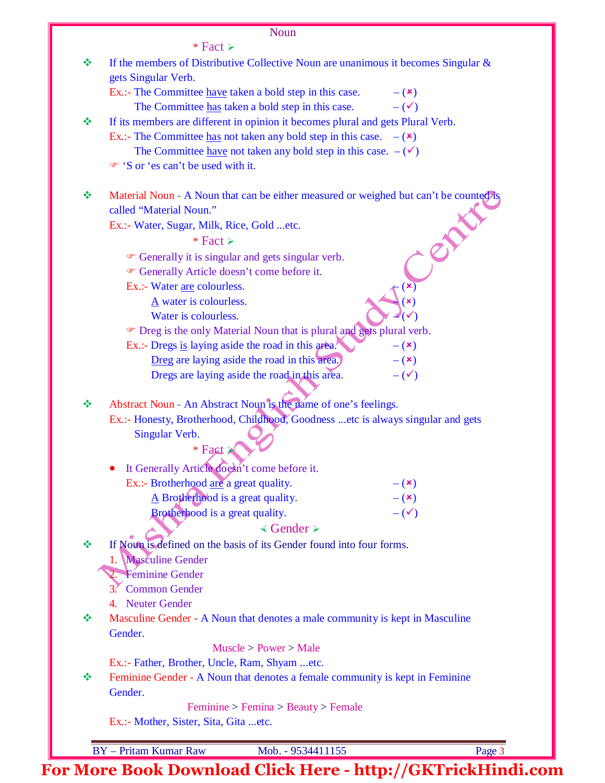## Noun

 $*$  Fact  $\ge$ 

| ❖ | If the members of Distributive Collective Noun are unanimous it becomes Singular $\&$                                                                   |                           |
|---|---------------------------------------------------------------------------------------------------------------------------------------------------------|---------------------------|
|   | gets Singular Verb.                                                                                                                                     |                           |
|   | Ex.:- The Committee have taken a bold step in this case.<br>The Committee has taken a bold step in this case.                                           | $ (x)$<br>$-(\checkmark)$ |
| ❖ |                                                                                                                                                         |                           |
|   | If its members are different in opinion it becomes plural and gets Plural Verb.<br>Ex.:- The Committee has not taken any bold step in this case. $-(x)$ |                           |
|   | The Committee have not taken any bold step in this case. $-(\checkmark)$                                                                                |                           |
|   | Sor 'es can't be used with it.                                                                                                                          |                           |
|   |                                                                                                                                                         |                           |
| ❖ | Material Noun - A Noun that can be either measured or weighed but can't be counted is                                                                   |                           |
|   | called "Material Noun."                                                                                                                                 |                           |
|   | Ex.:- Water, Sugar, Milk, Rice, Gold etc.                                                                                                               |                           |
|   | * Fact $\ge$                                                                                                                                            |                           |
|   | • Generally it is singular and gets singular verb.                                                                                                      |                           |
|   | <sup>®</sup> Generally Article doesn't come before it.                                                                                                  |                           |
|   | Ex.:- Water are colourless.                                                                                                                             |                           |
|   | A water is colourless.                                                                                                                                  |                           |
|   | Water is colourless.                                                                                                                                    |                           |
|   | • Dreg is the only Material Noun that is plural and gets plural verb.                                                                                   |                           |
|   | Ex.:- Dregs is laying aside the road in this area.                                                                                                      | $-$ ( $\mathbf{x})$       |
|   | Dreg are laying aside the road in this area.                                                                                                            | $- (x)$                   |
|   | Dregs are laying aside the road in this area.                                                                                                           | $-(\checkmark)$           |
| ❖ |                                                                                                                                                         |                           |
|   | Abstract Noun - An Abstract Noun is the name of one's feelings.                                                                                         |                           |
|   | Ex.:- Honesty, Brotherhood, Childhood, Goodness etc is always singular and gets<br>Singular Verb.                                                       |                           |
|   | $*$ Fact $*$                                                                                                                                            |                           |
|   |                                                                                                                                                         |                           |
|   | It Generally Article doesn't come before it.<br>$\bullet$                                                                                               |                           |
|   | Ex.:- Brotherhood are a great quality.                                                                                                                  | $- (x)$                   |
|   | A Brotherhood is a great quality.                                                                                                                       | $ (x)$                    |
|   | Brotherhood is a great quality.                                                                                                                         | $-(\checkmark)$           |
|   | $\triangleleft$ Gender $\succ$                                                                                                                          |                           |
| ❖ | If Noun is defined on the basis of its Gender found into four forms.                                                                                    |                           |
|   | <b>Masculine Gender</b>                                                                                                                                 |                           |
|   | Féminine Gender                                                                                                                                         |                           |
|   | 3. Common Gender                                                                                                                                        |                           |
|   | 4. Neuter Gender                                                                                                                                        |                           |
| ❖ | Masculine Gender - A Noun that denotes a male community is kept in Masculine                                                                            |                           |
|   | Gender.                                                                                                                                                 |                           |
|   | Muscle > Power > Male                                                                                                                                   |                           |
|   | Ex.:- Father, Brother, Uncle, Ram, Shyam etc.                                                                                                           |                           |
| ൟ | Feminine Gender - A Noun that denotes a female community is kept in Feminine                                                                            |                           |
|   | Gender.                                                                                                                                                 |                           |
|   | Feminine > Femina > Beauty > Female<br>Ex.:- Mother, Sister, Sita, Gita  etc.                                                                           |                           |
|   |                                                                                                                                                         |                           |
|   | <b>BY</b> - Pritam Kumar Raw<br>Mob. - 9534411155                                                                                                       | Page 3                    |
|   |                                                                                                                                                         |                           |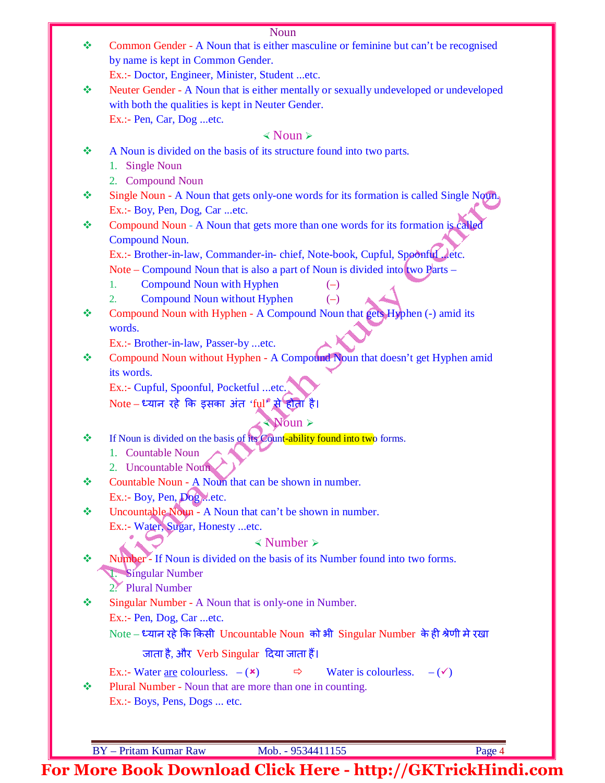| ❖ | TYOUIT<br>Common Gender - A Noun that is either masculine or feminine but can't be recognised<br>by name is kept in Common Gender. |
|---|------------------------------------------------------------------------------------------------------------------------------------|
|   | Ex.:- Doctor, Engineer, Minister, Student etc.                                                                                     |
| ❖ | Neuter Gender - A Noun that is either mentally or sexually undeveloped or undeveloped                                              |
|   | with both the qualities is kept in Neuter Gender.                                                                                  |
|   | Ex.:- Pen, Car, Dog etc.                                                                                                           |
|   | $\triangleleft$ Noun $\triangleright$                                                                                              |
| ❖ | A Noun is divided on the basis of its structure found into two parts.                                                              |
|   | <b>Single Noun</b><br>1.                                                                                                           |
|   | 2. Compound Noun                                                                                                                   |
| ❖ | Single Noun - A Noun that gets only-one words for its formation is called Single Noun.                                             |
|   | Ex.:- Boy, Pen, Dog, Car etc.                                                                                                      |
| ❖ | Compound Noun - A Noun that gets more than one words for its formation is called                                                   |
|   | Compound Noun.                                                                                                                     |
|   | Ex.:- Brother-in-law, Commander-in-chief, Note-book, Cupful, Spoonful Jetc.                                                        |
|   | Note – Compound Noun that is also a part of Noun is divided into two Parts –                                                       |
|   | <b>Compound Noun with Hyphen</b><br>1.                                                                                             |
|   | Compound Noun without Hyphen<br>2.<br>$(-)$                                                                                        |
| ❖ | Compound Noun with Hyphen - A Compound Noun that gets Hyphen (-) amid its<br>words.                                                |
|   | Ex.:- Brother-in-law, Passer-by etc.                                                                                               |
| ❖ | Compound Noun without Hyphen - A Compound Noun that doesn't get Hyphen amid                                                        |
|   | its words.                                                                                                                         |
|   | Ex.:- Cupful, Spoonful, Pocketful etc.                                                                                             |
|   | Note – ध्यान रहे कि इसका अंत 'ful" से होता है।                                                                                     |
|   | $\mathbb{N}$ oun >                                                                                                                 |
| ❖ | If Noun is divided on the basis of its Count-ability found into two forms.                                                         |
|   | 1. Countable Noun                                                                                                                  |
|   | 2. Uncountable Noun                                                                                                                |
| ❖ | Countable Noun - A Noun that can be shown in number.                                                                               |
|   | Ex.:- Boy, Pen, Dogetc.                                                                                                            |
| ❖ | Uncountable Noun - A Noun that can't be shown in number.                                                                           |
|   | Ex.:- Water, Sugar, Honesty etc.                                                                                                   |
|   | $\triangle$ Number $\triangleright$                                                                                                |
| ❖ | Number <sup>2</sup> - If Noun is divided on the basis of its Number found into two forms.                                          |
|   | Singular Number                                                                                                                    |
|   | 2. Plural Number                                                                                                                   |
| ≪ | Singular Number - A Noun that is only-one in Number.                                                                               |
|   | Ex.:- Pen, Dog, Caretc.                                                                                                            |
|   | Note – ध्यान रहे कि किसी Uncountable Noun को भी Singular Number के ही श्रेणी मे रखा                                                |
|   | जाता है, और Verb Singular दिया जाता हैं।                                                                                           |
|   | Ex.:- Water <u>are</u> colourless. $-$ ( $\star$ )<br>Water is colourless. $-(\checkmark)$<br>$\Rightarrow$                        |
| ∙ | Plural Number - Noun that are more than one in counting.                                                                           |
|   | Ex.:- Boys, Pens, Dogs  etc.                                                                                                       |
|   |                                                                                                                                    |
|   |                                                                                                                                    |
|   | <b>BY</b> - Pritam Kumar Raw<br>Page 4<br>Mob. - 9534411155                                                                        |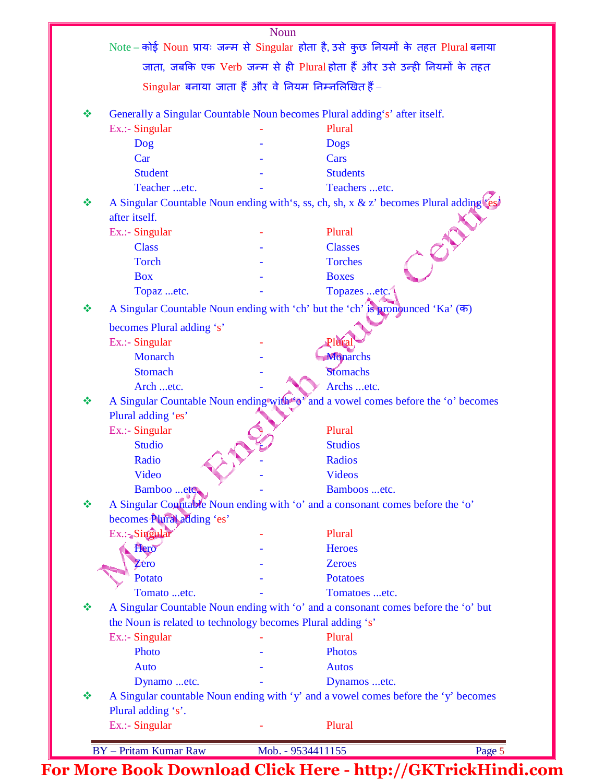|   |                                                             | Note – कोई Noun प्रायः जन्म से Singular होता है, उसे कुछ नियमों के तहत Plural बनाया            |
|---|-------------------------------------------------------------|------------------------------------------------------------------------------------------------|
|   |                                                             | जाता, जबकि एक Verb जन्म से ही Plural होता हैं और उसे उन्ही नियमों के तहत                       |
|   | Singular बनाया जाता हैं और वे नियम निम्नलिखित हैं -         |                                                                                                |
| ❖ |                                                             | Generally a Singular Countable Noun becomes Plural adding's' after itself.                     |
|   | Ex.:- Singular                                              | Plural                                                                                         |
|   | Dog                                                         | <b>Dogs</b>                                                                                    |
|   | Car                                                         | Cars                                                                                           |
|   | <b>Student</b>                                              | <b>Students</b>                                                                                |
|   | Teacher etc.                                                | Teachers etc.                                                                                  |
| ❖ |                                                             | A Singular Countable Noun ending with's, ss, ch, sh, x & z' becomes Plural adding (es)         |
|   | after itself.                                               |                                                                                                |
|   | Ex.:- Singular                                              | Plural                                                                                         |
|   | <b>Class</b>                                                | <b>Classes</b>                                                                                 |
|   | <b>Torch</b>                                                | <b>Torches</b>                                                                                 |
|   | <b>Box</b>                                                  | <b>Boxes</b>                                                                                   |
|   | Topaz etc.                                                  | Topazes etc.                                                                                   |
| ❖ |                                                             | A Singular Countable Noun ending with 'ch' but the 'ch' is pronounced 'Ka' $(\overline{\Phi})$ |
|   | becomes Plural adding 's'                                   |                                                                                                |
|   | Ex.:- Singular                                              | Plural                                                                                         |
|   | Monarch                                                     | Monarchs                                                                                       |
|   | <b>Stomach</b>                                              | Stomachs                                                                                       |
|   | Arch etc.                                                   | Archs etc.                                                                                     |
| ❖ |                                                             | A Singular Countable Noun ending with $\phi^*$ and a vowel comes before the 'o' becomes        |
|   | Plural adding 'es'                                          |                                                                                                |
|   | Ex.:- Singular                                              | Plural                                                                                         |
|   | <b>Studio</b>                                               | <b>Studios</b>                                                                                 |
|   | Radio                                                       | <b>Radios</b>                                                                                  |
|   | Video                                                       | <b>Videos</b>                                                                                  |
|   | Bamboo etc.                                                 | Bamboos etc.                                                                                   |
| ❖ |                                                             | A Singular Countable Noun ending with 'o' and a consonant comes before the 'o'                 |
|   | becomes Plural adding 'es'                                  |                                                                                                |
|   | Ex.:-Singular                                               | Plural                                                                                         |
|   | Hero                                                        | <b>Heroes</b>                                                                                  |
|   | Zero                                                        | <b>Zeroes</b>                                                                                  |
|   | Potato                                                      | <b>Potatoes</b>                                                                                |
|   | Tomato etc.                                                 | Tomatoes etc.                                                                                  |
| ❖ |                                                             | A Singular Countable Noun ending with 'o' and a consonant comes before the 'o' but             |
|   | the Noun is related to technology becomes Plural adding 's' |                                                                                                |
|   | Ex.:- Singular                                              | Plural                                                                                         |
|   | Photo                                                       | <b>Photos</b>                                                                                  |
|   | <b>Auto</b>                                                 | <b>Autos</b>                                                                                   |
|   |                                                             |                                                                                                |
|   | Dynamo etc.                                                 | Dynamos etc.                                                                                   |
| ❖ |                                                             | A Singular countable Noun ending with 'y' and a vowel comes before the 'y' becomes             |
|   | Plural adding 's'.                                          |                                                                                                |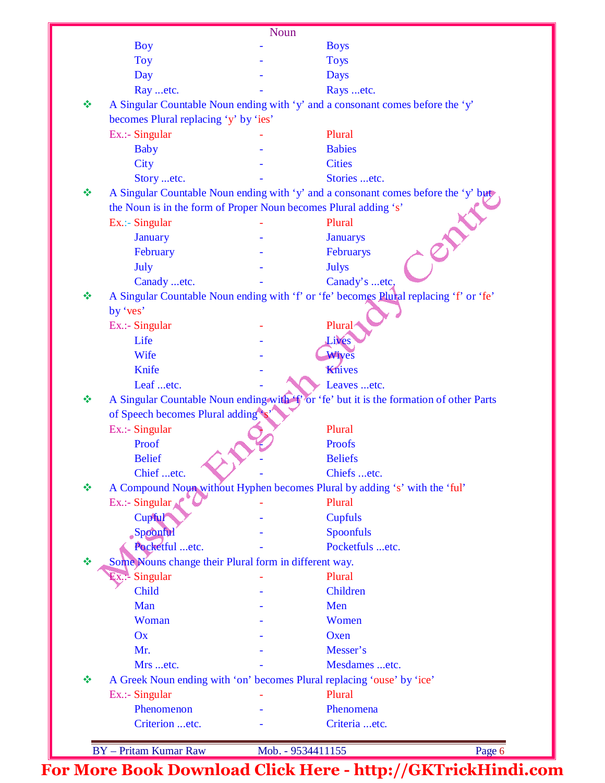|   |                                                                        | Noun              |                                                                                        |        |
|---|------------------------------------------------------------------------|-------------------|----------------------------------------------------------------------------------------|--------|
|   | <b>Boy</b>                                                             |                   | <b>Boys</b>                                                                            |        |
|   | <b>Toy</b>                                                             |                   | <b>Toys</b>                                                                            |        |
|   | Day                                                                    |                   | <b>Days</b>                                                                            |        |
|   | Ray etc.                                                               |                   | Rays etc.                                                                              |        |
| ❖ |                                                                        |                   | A Singular Countable Noun ending with 'y' and a consonant comes before the 'y'         |        |
|   | becomes Plural replacing 'y' by 'ies'                                  |                   |                                                                                        |        |
|   | Ex.:- Singular                                                         |                   | Plural                                                                                 |        |
|   | <b>Baby</b>                                                            |                   | <b>Babies</b>                                                                          |        |
|   | City                                                                   |                   | <b>Cities</b>                                                                          |        |
|   | Story etc.                                                             |                   | Stories etc.                                                                           |        |
| ❖ |                                                                        |                   | A Singular Countable Noun ending with 'y' and a consonant comes before the 'y' but     |        |
|   | the Noun is in the form of Proper Noun becomes Plural adding 's'       |                   |                                                                                        |        |
|   | Ex.:- Singular                                                         |                   | Plural                                                                                 |        |
|   | <b>January</b>                                                         |                   | <b>Januarys</b>                                                                        |        |
|   | February                                                               |                   | Februarys                                                                              |        |
|   |                                                                        |                   |                                                                                        |        |
|   | July                                                                   |                   | <b>Julys</b>                                                                           |        |
| ❖ | Canady etc.                                                            |                   | Canady's etc,                                                                          |        |
|   |                                                                        |                   | A Singular Countable Noun ending with 'f' or 'fe' becomes Plural replacing 'f' or 'fe' |        |
|   | by 'ves'                                                               |                   |                                                                                        |        |
|   | Ex.:- Singular                                                         |                   | Plural                                                                                 |        |
|   | Life                                                                   |                   | Lives                                                                                  |        |
|   | Wife                                                                   |                   | Wives                                                                                  |        |
|   | Knife                                                                  |                   | Knives                                                                                 |        |
|   | Leaf etc.                                                              |                   | Leaves etc.                                                                            |        |
| ❖ |                                                                        |                   | A Singular Countable Noun ending with T or 'fe' but it is the formation of other Parts |        |
|   | of Speech becomes Plural adding                                        |                   |                                                                                        |        |
|   | Ex.:- Singular                                                         |                   | Plural                                                                                 |        |
|   | Proof                                                                  |                   | <b>Proofs</b>                                                                          |        |
|   | <b>Belief</b>                                                          |                   | <b>Beliefs</b>                                                                         |        |
|   | Chief etc.                                                             |                   | Chiefs etc.                                                                            |        |
| ❖ |                                                                        |                   | A Compound Noun without Hyphen becomes Plural by adding 's' with the 'ful'             |        |
|   | Ex.:- Singular                                                         |                   | Plural                                                                                 |        |
|   | Cupful                                                                 |                   | <b>Cupfuls</b>                                                                         |        |
|   | Spoonful                                                               |                   | Spoonfuls                                                                              |        |
|   | Pocketful etc.                                                         |                   | Pocketfuls etc.                                                                        |        |
| ❖ | Some Nouns change their Plural form in different way.                  |                   |                                                                                        |        |
|   | Singular                                                               |                   | Plural                                                                                 |        |
|   | Child                                                                  |                   | Children                                                                               |        |
|   | Man                                                                    |                   | Men                                                                                    |        |
|   | Woman                                                                  |                   | Women                                                                                  |        |
|   | Ox                                                                     |                   | Oxen                                                                                   |        |
|   | Mr.                                                                    |                   | Messer's                                                                               |        |
|   | Mrs etc.                                                               |                   | Mesdames etc.                                                                          |        |
| ❖ | A Greek Noun ending with 'on' becomes Plural replacing 'ouse' by 'ice' |                   |                                                                                        |        |
|   | Ex.:- Singular                                                         |                   | Plural                                                                                 |        |
|   | Phenomenon                                                             |                   | Phenomena                                                                              |        |
|   | Criterion etc.                                                         |                   | Criteria etc.                                                                          |        |
|   |                                                                        |                   |                                                                                        |        |
|   | <b>BY</b> - Pritam Kumar Raw                                           | Mob. - 9534411155 |                                                                                        | Page 6 |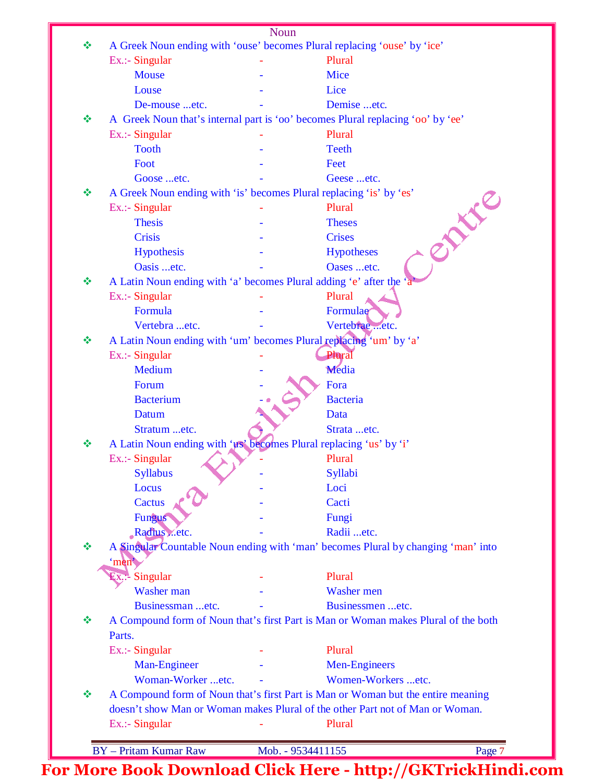|   |                                                                     | <b>Noun</b>              |                                                                                    |
|---|---------------------------------------------------------------------|--------------------------|------------------------------------------------------------------------------------|
| ❖ |                                                                     |                          | A Greek Noun ending with 'ouse' becomes Plural replacing 'ouse' by 'ice'           |
|   | Ex.:- Singular                                                      |                          | Plural                                                                             |
|   | <b>Mouse</b>                                                        |                          | <b>Mice</b>                                                                        |
|   | Louse                                                               |                          | Lice                                                                               |
|   | De-mouse etc.                                                       |                          | Demise etc.                                                                        |
| ❖ |                                                                     |                          | A Greek Noun that's internal part is 'oo' becomes Plural replacing 'oo' by 'ee'    |
|   | Ex.:- Singular                                                      |                          | Plural                                                                             |
|   | <b>Tooth</b>                                                        |                          | <b>Teeth</b>                                                                       |
|   | Foot                                                                |                          | Feet                                                                               |
|   | Goose etc.                                                          |                          | Geese etc.                                                                         |
| ❖ | A Greek Noun ending with 'is' becomes Plural replacing 'is' by 'es' |                          |                                                                                    |
|   | Ex.:- Singular                                                      |                          | <b>ANY</b> C<br>Plural                                                             |
|   | <b>Thesis</b>                                                       |                          | <b>Theses</b>                                                                      |
|   | <b>Crisis</b>                                                       |                          | <b>Crises</b>                                                                      |
|   | Hypothesis                                                          |                          | <b>Hypotheses</b>                                                                  |
|   | Oasis etc.                                                          |                          | Oases etc.                                                                         |
| ❖ | A Latin Noun ending with 'a' becomes Plural adding 'e' after the    |                          |                                                                                    |
|   | Ex.:- Singular                                                      |                          | Plural                                                                             |
|   | Formula                                                             |                          | Formulae                                                                           |
|   | Vertebra etc.                                                       |                          | Vertebrae etc.                                                                     |
| ❖ | A Latin Noun ending with 'um' becomes Plural replacing 'um' by 'a'  |                          |                                                                                    |
|   | Ex.:- Singular                                                      |                          | Plural                                                                             |
|   | Medium                                                              |                          | Media                                                                              |
|   | Forum                                                               |                          | Fora                                                                               |
|   | <b>Bacterium</b>                                                    |                          | <b>Bacteria</b>                                                                    |
|   | Datum                                                               |                          | Data                                                                               |
|   | Stratum etc.                                                        |                          | Strata etc.                                                                        |
| ❖ | A Latin Noun ending with 'us' becomes Plural replacing 'us' by 'i'  |                          |                                                                                    |
|   | $Ex.$ :- Singular                                                   |                          | Plural                                                                             |
|   | <b>Syllabus</b>                                                     |                          | Syllabi                                                                            |
|   | Locus                                                               |                          | Loci                                                                               |
|   | Cactus                                                              |                          | Cacti                                                                              |
|   | Fungus                                                              |                          | Fungi                                                                              |
|   | Radius etc.                                                         |                          | Radii etc.                                                                         |
| 豪 |                                                                     |                          | A Singular Countable Noun ending with 'man' becomes Plural by changing 'man' into  |
|   | 'men                                                                |                          |                                                                                    |
|   | Singular                                                            |                          | Plural                                                                             |
|   | ЦХ.∵-<br>Washer man                                                 |                          | Washer men                                                                         |
|   | Businessman etc.                                                    |                          | Businessmen etc.                                                                   |
| ❖ |                                                                     |                          | A Compound form of Noun that's first Part is Man or Woman makes Plural of the both |
|   | Parts.                                                              |                          |                                                                                    |
|   | Ex.:- Singular                                                      |                          | Plural                                                                             |
|   | Man-Engineer                                                        |                          | <b>Men-Engineers</b>                                                               |
|   | Woman-Worker etc.                                                   |                          | Women-Workers etc.                                                                 |
| ❖ |                                                                     |                          | A Compound form of Noun that's first Part is Man or Woman but the entire meaning   |
|   |                                                                     |                          | doesn't show Man or Woman makes Plural of the other Part not of Man or Woman.      |
|   | Ex.:- Singular                                                      |                          | Plural                                                                             |
|   |                                                                     |                          |                                                                                    |
|   | <b>BY</b> - Pritam Kumar Raw                                        | Mob. - 9534411155        | Page 7                                                                             |
|   |                                                                     | $\sim$ 1 $\sim$ 1 $\sim$ |                                                                                    |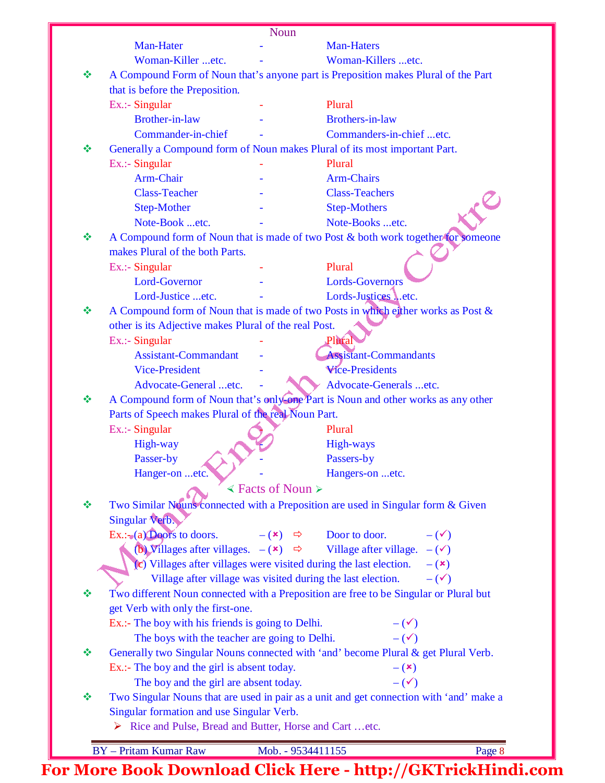|   |                                                                                                                                          | <b>Noun</b>                                |                                                                                                          |        |  |
|---|------------------------------------------------------------------------------------------------------------------------------------------|--------------------------------------------|----------------------------------------------------------------------------------------------------------|--------|--|
|   | Man-Hater                                                                                                                                |                                            | <b>Man-Haters</b>                                                                                        |        |  |
|   | Woman-Killer etc.                                                                                                                        |                                            | Woman-Killers etc.                                                                                       |        |  |
| ❖ |                                                                                                                                          |                                            | A Compound Form of Noun that's anyone part is Preposition makes Plural of the Part                       |        |  |
|   | that is before the Preposition.                                                                                                          |                                            |                                                                                                          |        |  |
|   | Ex.:- Singular                                                                                                                           |                                            | Plural                                                                                                   |        |  |
|   | <b>Brother-in-law</b>                                                                                                                    |                                            | <b>Brothers-in-law</b>                                                                                   |        |  |
|   | Commander-in-chief                                                                                                                       |                                            | Commanders-in-chief etc.                                                                                 |        |  |
| ❖ |                                                                                                                                          |                                            | Generally a Compound form of Noun makes Plural of its most important Part.                               |        |  |
|   | Ex.:- Singular                                                                                                                           |                                            | Plural                                                                                                   |        |  |
|   | Arm-Chair                                                                                                                                |                                            | <b>Arm-Chairs</b>                                                                                        |        |  |
|   | <b>Class-Teacher</b>                                                                                                                     |                                            | <b>Class-Teachers</b>                                                                                    |        |  |
|   | <b>Step-Mother</b>                                                                                                                       |                                            | <b>Step-Mothers</b>                                                                                      |        |  |
|   | Note-Book etc.                                                                                                                           |                                            | Note-Books etc.                                                                                          |        |  |
| ❖ |                                                                                                                                          |                                            | A Compound form of Noun that is made of two Post & both work together for someone                        |        |  |
|   | makes Plural of the both Parts.                                                                                                          |                                            |                                                                                                          |        |  |
|   | Ex.:- Singular                                                                                                                           |                                            | Plural                                                                                                   |        |  |
|   | Lord-Governor                                                                                                                            |                                            | <b>Lords-Governors</b>                                                                                   |        |  |
|   | Lord-Justice etc.                                                                                                                        |                                            | Lords-Justices Letc.                                                                                     |        |  |
| ❖ |                                                                                                                                          |                                            | A Compound form of Noun that is made of two Posts in which either works as Post &                        |        |  |
|   | other is its Adjective makes Plural of the real Post.                                                                                    |                                            |                                                                                                          |        |  |
|   | Ex.:- Singular                                                                                                                           |                                            | Plural                                                                                                   |        |  |
|   | <b>Assistant-Commandant</b>                                                                                                              |                                            | <b>Assistant-Commandants</b>                                                                             |        |  |
|   | <b>Vice-President</b>                                                                                                                    |                                            | <b>Wice-Presidents</b>                                                                                   |        |  |
|   | Advocate-General etc.                                                                                                                    |                                            | Advocate-Generals etc.                                                                                   |        |  |
| ❖ |                                                                                                                                          |                                            | A Compound form of Noun that's only one Part is Noun and other works as any other                        |        |  |
|   | Parts of Speech makes Plural of the real Noun Part.                                                                                      |                                            |                                                                                                          |        |  |
|   | Ex.:- Singular                                                                                                                           |                                            | Plural                                                                                                   |        |  |
|   | High-way                                                                                                                                 |                                            | High-ways                                                                                                |        |  |
|   | Passer-by                                                                                                                                |                                            | Passers-by                                                                                               |        |  |
|   | Hanger-on etc.                                                                                                                           |                                            | Hangers-on etc.                                                                                          |        |  |
|   |                                                                                                                                          | $\triangle$ Facts of Noun $\triangleright$ |                                                                                                          |        |  |
| ❖ |                                                                                                                                          |                                            | Two Similar Nouns connected with a Preposition are used in Singular form & Given                         |        |  |
|   | Singular Verb.                                                                                                                           |                                            |                                                                                                          |        |  |
|   | $Ex.:=(a)$ Doors to doors.                                                                                                               |                                            | $-(x) \Leftrightarrow$ Door to door.<br>$-(\checkmark)$                                                  |        |  |
|   |                                                                                                                                          |                                            | (b) Villages after villages. $-(\mathbf{x}) \Rightarrow$ Village after village. $-(\mathbf{x})$          |        |  |
|   | (c) Villages after villages were visited during the last election. $-(x)$<br>Village after village was visited during the last election. |                                            |                                                                                                          |        |  |
| ❖ |                                                                                                                                          |                                            | $-(\checkmark)$<br>Two different Noun connected with a Preposition are free to be Singular or Plural but |        |  |
|   | get Verb with only the first-one.                                                                                                        |                                            |                                                                                                          |        |  |
|   | Ex.:- The boy with his friends is going to Delhi.                                                                                        |                                            | $-(\checkmark)$                                                                                          |        |  |
|   | The boys with the teacher are going to Delhi.                                                                                            |                                            | $-(\checkmark)$                                                                                          |        |  |
| ❖ |                                                                                                                                          |                                            | Generally two Singular Nouns connected with 'and' become Plural & get Plural Verb.                       |        |  |
|   | Ex.:- The boy and the girl is absent today.                                                                                              |                                            | $-$ ( $\mathbf{x})$                                                                                      |        |  |
|   | The boy and the girl are absent today.                                                                                                   |                                            | $-(\checkmark)$                                                                                          |        |  |
| ❖ |                                                                                                                                          |                                            | Two Singular Nouns that are used in pair as a unit and get connection with 'and' make a                  |        |  |
|   | Singular formation and use Singular Verb.                                                                                                |                                            |                                                                                                          |        |  |
|   | > Rice and Pulse, Bread and Butter, Horse and Cart etc.                                                                                  |                                            |                                                                                                          |        |  |
|   |                                                                                                                                          |                                            |                                                                                                          |        |  |
|   | <b>BY</b> - Pritam Kumar Raw                                                                                                             | Mob. - 9534411155                          |                                                                                                          | Page 8 |  |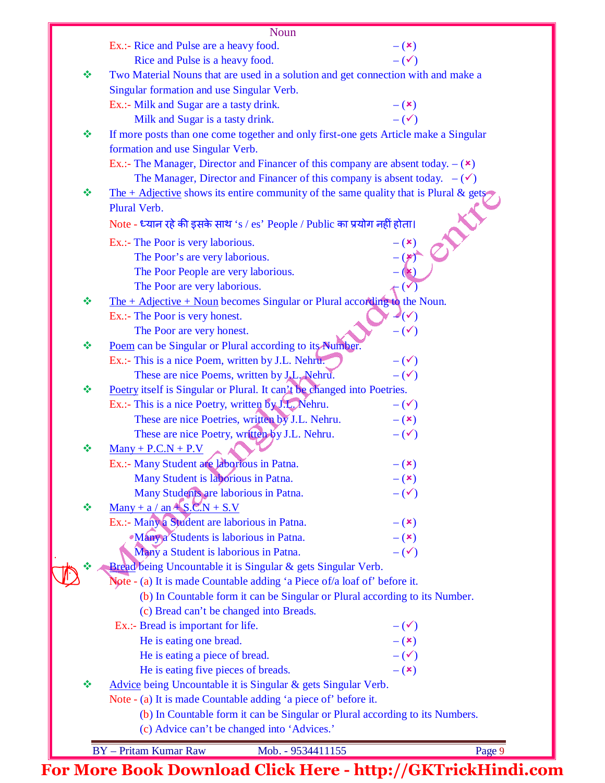|   | <b>Noun</b>                                                                                            |                        |
|---|--------------------------------------------------------------------------------------------------------|------------------------|
|   | Ex.:- Rice and Pulse are a heavy food.                                                                 | $-$ ( $\mathbf{x})$    |
|   | Rice and Pulse is a heavy food.                                                                        | $-(\checkmark)$        |
| ❖ | Two Material Nouns that are used in a solution and get connection with and make a                      |                        |
|   | Singular formation and use Singular Verb.                                                              |                        |
|   | Ex.:- Milk and Sugar are a tasty drink.                                                                | $-$ ( $\mathbf{x})$    |
|   | Milk and Sugar is a tasty drink.                                                                       | $-(\checkmark)$        |
| ❖ | If more posts than one come together and only first-one gets Article make a Singular                   |                        |
|   |                                                                                                        |                        |
|   | formation and use Singular Verb.                                                                       |                        |
|   | Ex.:- The Manager, Director and Financer of this company are absent today. $-(\star)$                  |                        |
|   | The Manager, Director and Financer of this company is absent today. $-(\checkmark)$                    |                        |
| ❖ | The + Adjective shows its entire community of the same quality that is Plural & gets<br>Plural Verb.   |                        |
|   |                                                                                                        |                        |
|   | Note - ध्यान रहे की इसके साथ 's / es' People / Public का प्रयोग नहीं होता।                             |                        |
|   | Ex.:- The Poor is very laborious.                                                                      | $ (x)$                 |
|   | The Poor's are very laborious.                                                                         |                        |
|   | The Poor People are very laborious.                                                                    |                        |
|   | The Poor are very laborious.                                                                           |                        |
| ❖ | The $+$ Adjective $+$ Noun becomes Singular or Plural according to the Noun.                           |                        |
|   | Ex.:- The Poor is very honest.                                                                         | $\mathbb{Z}(\sqrt{2})$ |
|   | The Poor are very honest.                                                                              | $-(\checkmark)$        |
| ❖ | Poem can be Singular or Plural according to its Number.                                                |                        |
|   | Ex.:- This is a nice Poem, written by J.L. Nehru.                                                      | $-(\checkmark)$        |
|   | These are nice Poems, written by J.L. Nehru.                                                           | $-(\checkmark)$        |
| ❖ | Poetry itself is Singular or Plural. It can't be changed into Poetries.                                |                        |
|   | Ex.:- This is a nice Poetry, written by J.L. Nehru.                                                    | $-(\checkmark)$        |
|   | These are nice Poetries, written by J.L. Nehru.                                                        | $-$ ( $\mathbf{x})$    |
|   | These are nice Poetry, written by J.L. Nehru.                                                          | $-(\checkmark)$        |
| ❖ | $Many + P.C.N + P.V$                                                                                   |                        |
|   | Ex.:- Many Student are laborrous in Patna.                                                             | $ (x)$                 |
|   | Many Student is laborious in Patna.                                                                    | $-$ ( $\mathbf{x})$    |
|   | Many Students are laborious in Patna.                                                                  | $-(\checkmark)$        |
| ❖ | $\frac{\text{Many} + a}{\text{an} + \text{S} \cdot \text{C} \cdot \text{N} + \text{S} \cdot \text{V}}$ |                        |
|   | Ex.:- Many a Student are laborious in Patna.                                                           | $ (x)$                 |
|   | <b>Many a Students is laborious in Patna.</b>                                                          | $-$ ( $\mathbf{x})$    |
|   | Many a Student is laborious in Patna.                                                                  | $-(\checkmark)$        |
| ❖ | Bread being Uncountable it is Singular & gets Singular Verb.                                           |                        |
|   | Note - (a) It is made Countable adding 'a Piece of/a loaf of' before it.                               |                        |
|   | (b) In Countable form it can be Singular or Plural according to its Number.                            |                        |
|   | (c) Bread can't be changed into Breads.                                                                |                        |
|   | Ex.:- Bread is important for life.                                                                     | $-(\checkmark)$        |
|   | He is eating one bread.                                                                                | $- (x)$                |
|   | He is eating a piece of bread.                                                                         | $-(\checkmark)$        |
|   | He is eating five pieces of breads.                                                                    | $-$ ( $\mathbf{x})$    |
| ❖ | Advice being Uncountable it is Singular & gets Singular Verb.                                          |                        |
|   | Note - (a) It is made Countable adding 'a piece of' before it.                                         |                        |
|   | (b) In Countable form it can be Singular or Plural according to its Numbers.                           |                        |
|   | (c) Advice can't be changed into 'Advices.'                                                            |                        |
|   | <b>BY</b> - Pritam Kumar Raw<br>Mob. - 9534411155                                                      | Page 9                 |
|   |                                                                                                        |                        |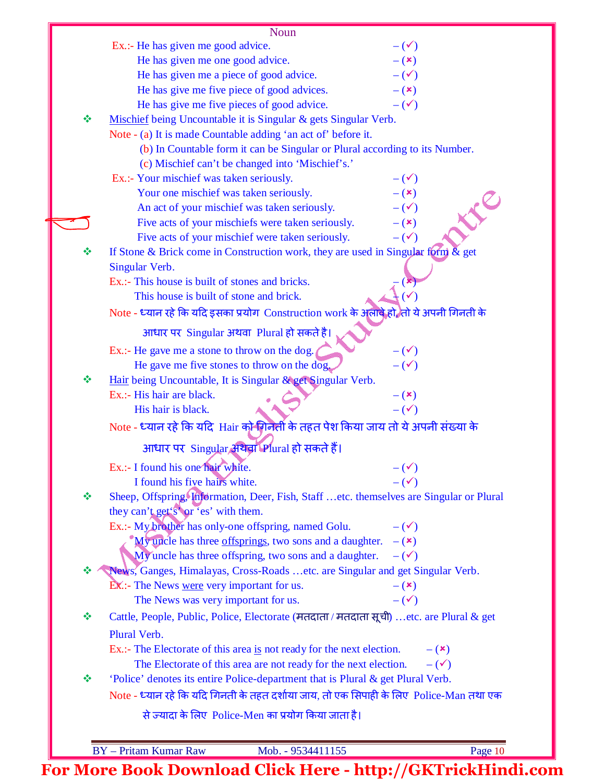|   | Noun                                                                                    |                     |
|---|-----------------------------------------------------------------------------------------|---------------------|
|   | Ex.:- He has given me good advice.                                                      | $-(\checkmark)$     |
|   | He has given me one good advice.                                                        | $-$ ( $\mathbf{x})$ |
|   | He has given me a piece of good advice.                                                 | $-(\checkmark)$     |
|   | He has give me five piece of good advices.                                              | $-$ ( $\mathbf{x})$ |
|   | He has give me five pieces of good advice.                                              | $-(\checkmark)$     |
| ❖ | Mischief being Uncountable it is Singular & gets Singular Verb.                         |                     |
|   | Note - (a) It is made Countable adding 'an act of' before it.                           |                     |
|   | (b) In Countable form it can be Singular or Plural according to its Number.             |                     |
|   | (c) Mischief can't be changed into 'Mischief's.'                                        |                     |
|   | Ex.:- Your mischief was taken seriously.                                                | $-(\checkmark)$     |
|   | Your one mischief was taken seriously.                                                  | $-$ ( $\mathbf{x})$ |
|   | An act of your mischief was taken seriously.                                            | $-(\checkmark)$     |
|   | Five acts of your mischiefs were taken seriously.                                       | $-$ ( $\mathbf{x})$ |
|   | Five acts of your mischief were taken seriously.                                        | $-(\checkmark)$     |
| ❖ | If Stone & Brick come in Construction work, they are used in Singular form $\&$ get     |                     |
|   | Singular Verb.                                                                          |                     |
|   | Ex.:- This house is built of stones and bricks.                                         |                     |
|   | This house is built of stone and brick.                                                 |                     |
|   | Note - ध्यान रहे कि यदि इसका प्रयोग Construction work के अलावे हो ,तो ये अपनी गिनती के  |                     |
|   | आधार पर Singular अथवा Plural हो सकते है।                                                |                     |
|   | Ex.:- He gave me a stone to throw on the dog.                                           | $-(\checkmark)$     |
|   | He gave me five stones to throw on the dog.                                             | $-(\checkmark)$     |
| ❖ | Hair being Uncountable, It is Singular & get Singular Verb.                             |                     |
|   | Ex.:- His hair are black.                                                               | $- (x)$             |
|   | His hair is black.                                                                      | $-(\checkmark)$     |
|   | Note - ध्यान रहे कि यदि Hair को गिनेती के तहत पेश किया जाय तो ये अपनी संख्या के         |                     |
|   | आधार पर Singular अथवा Plural हो सकते हैं।                                               |                     |
|   | Ex.:- I found his one hair white.                                                       | $-(\checkmark)$     |
|   | I found his five hairs white.                                                           | $-(\checkmark)$     |
| ❖ | Sheep, Offspring, Information, Deer, Fish, Staff etc. themselves are Singular or Plural |                     |
|   | they can't get's or 'es' with them.                                                     |                     |
|   | Ex.:- My brother has only-one offspring, named Golu.                                    | $-(\checkmark)$     |
|   | "My uncle has three offsprings, two sons and a daughter.                                | $-$ ( $\mathbf{x})$ |
|   | My uncle has three offspring, two sons and a daughter.                                  | $-(\checkmark)$     |
| ÷ | News, Ganges, Himalayas, Cross-Roads etc. are Singular and get Singular Verb.           |                     |
|   | EX.:- The News were very important for us.                                              | $-$ ( $\mathbf{x})$ |
|   | The News was very important for us.                                                     | $-(\checkmark)$     |
| ❖ | Cattle, People, Public, Police, Electorate (मतदाता / मतदाता सूची) etc. are Plural & get |                     |
|   | Plural Verb.                                                                            |                     |
|   | Ex.:- The Electorate of this area is not ready for the next election.                   | $ (x)$              |
|   | The Electorate of this area are not ready for the next election.                        | $-(\checkmark)$     |
| ❖ | 'Police' denotes its entire Police-department that is Plural & get Plural Verb.         |                     |
|   | Note - ध्यान रहे कि यदि गिनती के तहत दर्शाया जाय, तो एक सिपाही के लिए Police-Man तथा एक |                     |
|   | से ज्यादा के लिए Police-Men का प्रयोग किया जाता है।                                     |                     |
|   |                                                                                         |                     |
|   | <b>BY</b> - Pritam Kumar Raw<br>Mob. - 9534411155                                       | Page 10             |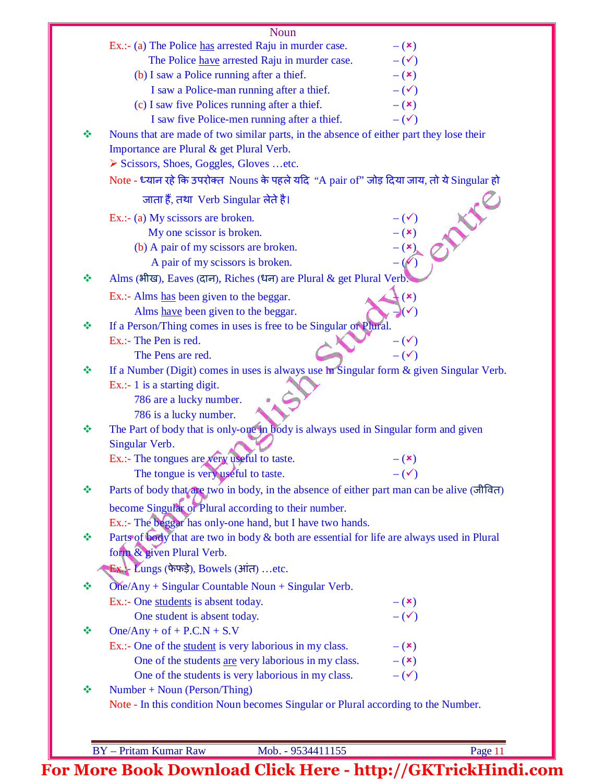| Ex.:- (a) The Police has arrested Raju in murder case.<br>$ (x)$<br>The Police have arrested Raju in murder case.<br>$-(\checkmark)$<br>(b) I saw a Police running after a thief.<br>$ (x)$<br>I saw a Police-man running after a thief.<br>$-(\checkmark)$<br>(c) I saw five Polices running after a thief.<br>$-$ ( $\mathbf{x})$<br>I saw five Police-men running after a thief.<br>$-(\checkmark)$<br>Nouns that are made of two similar parts, in the absence of either part they lose their<br>Importance are Plural & get Plural Verb.<br>$\triangleright$ Scissors, Shoes, Goggles, Gloves  etc.<br>Note - ध्यान रहे कि उपरोक्त Nouns के पहले यदि "A pair of" जोड़ दिया जाय, तो ये Singular हो<br>जाता हैं, तथा Verb Singular लेते है।<br>AN<br>Ex.: (a) My scissors are broken.<br>$ (x)$<br>My one scissor is broken.<br>(b) A pair of my scissors are broken.<br>A pair of my scissors is broken.<br>Alms (भीख), Eaves (दान), Riches (धन) are Plural & get Plural Verb<br>Ex.:- Alms has been given to the beggar.<br>$\mathbf{x})$<br>Alms have been given to the beggar.<br>If a Person/Thing comes in uses is free to be Singular or Plural.<br>Ex.:- The Pen is red.<br>$-(\checkmark)$<br>$-(\checkmark)$<br>The Pens are red.<br>If a Number (Digit) comes in uses is always use in Singular form & given Singular Verb.<br>Ex.:- 1 is a starting digit.<br>786 are a lucky number.<br>786 is a lucky number.<br>The Part of body that is only-one in body is always used in Singular form and given<br>Singular Verb.<br>Ex.:- The tongues are very useful to taste.<br>$ (\star)$<br>$-(\checkmark)$<br>The tongue is very useful to taste.<br>Parts of body that are two in body, in the absence of either part man can be alive (जीवित)<br>become Singular or Plural according to their number.<br>Ex.:- The beggar has only-one hand, but I have two hands.<br>Parts of body that are two in body & both are essential for life are always used in Plural<br>form & given Plural Verb.<br>Ex. Lungs (फेफई), Bowels (आंत) etc.<br>$One/Any + Singular Countable Noun + Singular Verb.$<br>Ex.:- One students is absent today.<br>$-(x)$<br>$-(\checkmark)$<br>One student is absent today.<br>$One/Any + of + P.C.N + S.V$<br>Ex.:- One of the student is very laborious in my class.<br>$- (x)$<br>One of the students are very laborious in my class.<br>$-$ ( $\mathbf{x})$<br>One of the students is very laborious in my class.<br>$-(\checkmark)$<br>$Number + Noun (Person/Things)$<br>Note - In this condition Noun becomes Singular or Plural according to the Number.<br><b>BY</b> - Pritam Kumar Raw<br>Mob. - 9534411155 |   | Noun |         |
|-----------------------------------------------------------------------------------------------------------------------------------------------------------------------------------------------------------------------------------------------------------------------------------------------------------------------------------------------------------------------------------------------------------------------------------------------------------------------------------------------------------------------------------------------------------------------------------------------------------------------------------------------------------------------------------------------------------------------------------------------------------------------------------------------------------------------------------------------------------------------------------------------------------------------------------------------------------------------------------------------------------------------------------------------------------------------------------------------------------------------------------------------------------------------------------------------------------------------------------------------------------------------------------------------------------------------------------------------------------------------------------------------------------------------------------------------------------------------------------------------------------------------------------------------------------------------------------------------------------------------------------------------------------------------------------------------------------------------------------------------------------------------------------------------------------------------------------------------------------------------------------------------------------------------------------------------------------------------------------------------------------------------------------------------------------------------------------------------------------------------------------------------------------------------------------------------------------------------------------------------------------------------------------------------------------------------------------------------------------------------------------------------------------------------------------------------------------------------------------------------------------------------------------------------------------------------------------------------------------------------------------------------------------|---|------|---------|
|                                                                                                                                                                                                                                                                                                                                                                                                                                                                                                                                                                                                                                                                                                                                                                                                                                                                                                                                                                                                                                                                                                                                                                                                                                                                                                                                                                                                                                                                                                                                                                                                                                                                                                                                                                                                                                                                                                                                                                                                                                                                                                                                                                                                                                                                                                                                                                                                                                                                                                                                                                                                                                                           |   |      |         |
|                                                                                                                                                                                                                                                                                                                                                                                                                                                                                                                                                                                                                                                                                                                                                                                                                                                                                                                                                                                                                                                                                                                                                                                                                                                                                                                                                                                                                                                                                                                                                                                                                                                                                                                                                                                                                                                                                                                                                                                                                                                                                                                                                                                                                                                                                                                                                                                                                                                                                                                                                                                                                                                           |   |      |         |
|                                                                                                                                                                                                                                                                                                                                                                                                                                                                                                                                                                                                                                                                                                                                                                                                                                                                                                                                                                                                                                                                                                                                                                                                                                                                                                                                                                                                                                                                                                                                                                                                                                                                                                                                                                                                                                                                                                                                                                                                                                                                                                                                                                                                                                                                                                                                                                                                                                                                                                                                                                                                                                                           |   |      |         |
|                                                                                                                                                                                                                                                                                                                                                                                                                                                                                                                                                                                                                                                                                                                                                                                                                                                                                                                                                                                                                                                                                                                                                                                                                                                                                                                                                                                                                                                                                                                                                                                                                                                                                                                                                                                                                                                                                                                                                                                                                                                                                                                                                                                                                                                                                                                                                                                                                                                                                                                                                                                                                                                           |   |      |         |
|                                                                                                                                                                                                                                                                                                                                                                                                                                                                                                                                                                                                                                                                                                                                                                                                                                                                                                                                                                                                                                                                                                                                                                                                                                                                                                                                                                                                                                                                                                                                                                                                                                                                                                                                                                                                                                                                                                                                                                                                                                                                                                                                                                                                                                                                                                                                                                                                                                                                                                                                                                                                                                                           |   |      |         |
|                                                                                                                                                                                                                                                                                                                                                                                                                                                                                                                                                                                                                                                                                                                                                                                                                                                                                                                                                                                                                                                                                                                                                                                                                                                                                                                                                                                                                                                                                                                                                                                                                                                                                                                                                                                                                                                                                                                                                                                                                                                                                                                                                                                                                                                                                                                                                                                                                                                                                                                                                                                                                                                           |   |      |         |
|                                                                                                                                                                                                                                                                                                                                                                                                                                                                                                                                                                                                                                                                                                                                                                                                                                                                                                                                                                                                                                                                                                                                                                                                                                                                                                                                                                                                                                                                                                                                                                                                                                                                                                                                                                                                                                                                                                                                                                                                                                                                                                                                                                                                                                                                                                                                                                                                                                                                                                                                                                                                                                                           | ❖ |      |         |
|                                                                                                                                                                                                                                                                                                                                                                                                                                                                                                                                                                                                                                                                                                                                                                                                                                                                                                                                                                                                                                                                                                                                                                                                                                                                                                                                                                                                                                                                                                                                                                                                                                                                                                                                                                                                                                                                                                                                                                                                                                                                                                                                                                                                                                                                                                                                                                                                                                                                                                                                                                                                                                                           |   |      |         |
|                                                                                                                                                                                                                                                                                                                                                                                                                                                                                                                                                                                                                                                                                                                                                                                                                                                                                                                                                                                                                                                                                                                                                                                                                                                                                                                                                                                                                                                                                                                                                                                                                                                                                                                                                                                                                                                                                                                                                                                                                                                                                                                                                                                                                                                                                                                                                                                                                                                                                                                                                                                                                                                           |   |      |         |
|                                                                                                                                                                                                                                                                                                                                                                                                                                                                                                                                                                                                                                                                                                                                                                                                                                                                                                                                                                                                                                                                                                                                                                                                                                                                                                                                                                                                                                                                                                                                                                                                                                                                                                                                                                                                                                                                                                                                                                                                                                                                                                                                                                                                                                                                                                                                                                                                                                                                                                                                                                                                                                                           |   |      |         |
|                                                                                                                                                                                                                                                                                                                                                                                                                                                                                                                                                                                                                                                                                                                                                                                                                                                                                                                                                                                                                                                                                                                                                                                                                                                                                                                                                                                                                                                                                                                                                                                                                                                                                                                                                                                                                                                                                                                                                                                                                                                                                                                                                                                                                                                                                                                                                                                                                                                                                                                                                                                                                                                           |   |      |         |
|                                                                                                                                                                                                                                                                                                                                                                                                                                                                                                                                                                                                                                                                                                                                                                                                                                                                                                                                                                                                                                                                                                                                                                                                                                                                                                                                                                                                                                                                                                                                                                                                                                                                                                                                                                                                                                                                                                                                                                                                                                                                                                                                                                                                                                                                                                                                                                                                                                                                                                                                                                                                                                                           |   |      |         |
|                                                                                                                                                                                                                                                                                                                                                                                                                                                                                                                                                                                                                                                                                                                                                                                                                                                                                                                                                                                                                                                                                                                                                                                                                                                                                                                                                                                                                                                                                                                                                                                                                                                                                                                                                                                                                                                                                                                                                                                                                                                                                                                                                                                                                                                                                                                                                                                                                                                                                                                                                                                                                                                           |   |      |         |
|                                                                                                                                                                                                                                                                                                                                                                                                                                                                                                                                                                                                                                                                                                                                                                                                                                                                                                                                                                                                                                                                                                                                                                                                                                                                                                                                                                                                                                                                                                                                                                                                                                                                                                                                                                                                                                                                                                                                                                                                                                                                                                                                                                                                                                                                                                                                                                                                                                                                                                                                                                                                                                                           |   |      |         |
|                                                                                                                                                                                                                                                                                                                                                                                                                                                                                                                                                                                                                                                                                                                                                                                                                                                                                                                                                                                                                                                                                                                                                                                                                                                                                                                                                                                                                                                                                                                                                                                                                                                                                                                                                                                                                                                                                                                                                                                                                                                                                                                                                                                                                                                                                                                                                                                                                                                                                                                                                                                                                                                           |   |      |         |
|                                                                                                                                                                                                                                                                                                                                                                                                                                                                                                                                                                                                                                                                                                                                                                                                                                                                                                                                                                                                                                                                                                                                                                                                                                                                                                                                                                                                                                                                                                                                                                                                                                                                                                                                                                                                                                                                                                                                                                                                                                                                                                                                                                                                                                                                                                                                                                                                                                                                                                                                                                                                                                                           | ❖ |      |         |
|                                                                                                                                                                                                                                                                                                                                                                                                                                                                                                                                                                                                                                                                                                                                                                                                                                                                                                                                                                                                                                                                                                                                                                                                                                                                                                                                                                                                                                                                                                                                                                                                                                                                                                                                                                                                                                                                                                                                                                                                                                                                                                                                                                                                                                                                                                                                                                                                                                                                                                                                                                                                                                                           |   |      |         |
|                                                                                                                                                                                                                                                                                                                                                                                                                                                                                                                                                                                                                                                                                                                                                                                                                                                                                                                                                                                                                                                                                                                                                                                                                                                                                                                                                                                                                                                                                                                                                                                                                                                                                                                                                                                                                                                                                                                                                                                                                                                                                                                                                                                                                                                                                                                                                                                                                                                                                                                                                                                                                                                           |   |      |         |
|                                                                                                                                                                                                                                                                                                                                                                                                                                                                                                                                                                                                                                                                                                                                                                                                                                                                                                                                                                                                                                                                                                                                                                                                                                                                                                                                                                                                                                                                                                                                                                                                                                                                                                                                                                                                                                                                                                                                                                                                                                                                                                                                                                                                                                                                                                                                                                                                                                                                                                                                                                                                                                                           | ❖ |      |         |
|                                                                                                                                                                                                                                                                                                                                                                                                                                                                                                                                                                                                                                                                                                                                                                                                                                                                                                                                                                                                                                                                                                                                                                                                                                                                                                                                                                                                                                                                                                                                                                                                                                                                                                                                                                                                                                                                                                                                                                                                                                                                                                                                                                                                                                                                                                                                                                                                                                                                                                                                                                                                                                                           |   |      |         |
|                                                                                                                                                                                                                                                                                                                                                                                                                                                                                                                                                                                                                                                                                                                                                                                                                                                                                                                                                                                                                                                                                                                                                                                                                                                                                                                                                                                                                                                                                                                                                                                                                                                                                                                                                                                                                                                                                                                                                                                                                                                                                                                                                                                                                                                                                                                                                                                                                                                                                                                                                                                                                                                           |   |      |         |
|                                                                                                                                                                                                                                                                                                                                                                                                                                                                                                                                                                                                                                                                                                                                                                                                                                                                                                                                                                                                                                                                                                                                                                                                                                                                                                                                                                                                                                                                                                                                                                                                                                                                                                                                                                                                                                                                                                                                                                                                                                                                                                                                                                                                                                                                                                                                                                                                                                                                                                                                                                                                                                                           | 豪 |      |         |
|                                                                                                                                                                                                                                                                                                                                                                                                                                                                                                                                                                                                                                                                                                                                                                                                                                                                                                                                                                                                                                                                                                                                                                                                                                                                                                                                                                                                                                                                                                                                                                                                                                                                                                                                                                                                                                                                                                                                                                                                                                                                                                                                                                                                                                                                                                                                                                                                                                                                                                                                                                                                                                                           |   |      |         |
|                                                                                                                                                                                                                                                                                                                                                                                                                                                                                                                                                                                                                                                                                                                                                                                                                                                                                                                                                                                                                                                                                                                                                                                                                                                                                                                                                                                                                                                                                                                                                                                                                                                                                                                                                                                                                                                                                                                                                                                                                                                                                                                                                                                                                                                                                                                                                                                                                                                                                                                                                                                                                                                           |   |      |         |
|                                                                                                                                                                                                                                                                                                                                                                                                                                                                                                                                                                                                                                                                                                                                                                                                                                                                                                                                                                                                                                                                                                                                                                                                                                                                                                                                                                                                                                                                                                                                                                                                                                                                                                                                                                                                                                                                                                                                                                                                                                                                                                                                                                                                                                                                                                                                                                                                                                                                                                                                                                                                                                                           |   |      |         |
|                                                                                                                                                                                                                                                                                                                                                                                                                                                                                                                                                                                                                                                                                                                                                                                                                                                                                                                                                                                                                                                                                                                                                                                                                                                                                                                                                                                                                                                                                                                                                                                                                                                                                                                                                                                                                                                                                                                                                                                                                                                                                                                                                                                                                                                                                                                                                                                                                                                                                                                                                                                                                                                           | ❖ |      |         |
|                                                                                                                                                                                                                                                                                                                                                                                                                                                                                                                                                                                                                                                                                                                                                                                                                                                                                                                                                                                                                                                                                                                                                                                                                                                                                                                                                                                                                                                                                                                                                                                                                                                                                                                                                                                                                                                                                                                                                                                                                                                                                                                                                                                                                                                                                                                                                                                                                                                                                                                                                                                                                                                           |   |      |         |
|                                                                                                                                                                                                                                                                                                                                                                                                                                                                                                                                                                                                                                                                                                                                                                                                                                                                                                                                                                                                                                                                                                                                                                                                                                                                                                                                                                                                                                                                                                                                                                                                                                                                                                                                                                                                                                                                                                                                                                                                                                                                                                                                                                                                                                                                                                                                                                                                                                                                                                                                                                                                                                                           |   |      |         |
|                                                                                                                                                                                                                                                                                                                                                                                                                                                                                                                                                                                                                                                                                                                                                                                                                                                                                                                                                                                                                                                                                                                                                                                                                                                                                                                                                                                                                                                                                                                                                                                                                                                                                                                                                                                                                                                                                                                                                                                                                                                                                                                                                                                                                                                                                                                                                                                                                                                                                                                                                                                                                                                           |   |      |         |
|                                                                                                                                                                                                                                                                                                                                                                                                                                                                                                                                                                                                                                                                                                                                                                                                                                                                                                                                                                                                                                                                                                                                                                                                                                                                                                                                                                                                                                                                                                                                                                                                                                                                                                                                                                                                                                                                                                                                                                                                                                                                                                                                                                                                                                                                                                                                                                                                                                                                                                                                                                                                                                                           | ❖ |      |         |
|                                                                                                                                                                                                                                                                                                                                                                                                                                                                                                                                                                                                                                                                                                                                                                                                                                                                                                                                                                                                                                                                                                                                                                                                                                                                                                                                                                                                                                                                                                                                                                                                                                                                                                                                                                                                                                                                                                                                                                                                                                                                                                                                                                                                                                                                                                                                                                                                                                                                                                                                                                                                                                                           |   |      |         |
|                                                                                                                                                                                                                                                                                                                                                                                                                                                                                                                                                                                                                                                                                                                                                                                                                                                                                                                                                                                                                                                                                                                                                                                                                                                                                                                                                                                                                                                                                                                                                                                                                                                                                                                                                                                                                                                                                                                                                                                                                                                                                                                                                                                                                                                                                                                                                                                                                                                                                                                                                                                                                                                           |   |      |         |
|                                                                                                                                                                                                                                                                                                                                                                                                                                                                                                                                                                                                                                                                                                                                                                                                                                                                                                                                                                                                                                                                                                                                                                                                                                                                                                                                                                                                                                                                                                                                                                                                                                                                                                                                                                                                                                                                                                                                                                                                                                                                                                                                                                                                                                                                                                                                                                                                                                                                                                                                                                                                                                                           | ❖ |      |         |
|                                                                                                                                                                                                                                                                                                                                                                                                                                                                                                                                                                                                                                                                                                                                                                                                                                                                                                                                                                                                                                                                                                                                                                                                                                                                                                                                                                                                                                                                                                                                                                                                                                                                                                                                                                                                                                                                                                                                                                                                                                                                                                                                                                                                                                                                                                                                                                                                                                                                                                                                                                                                                                                           |   |      |         |
|                                                                                                                                                                                                                                                                                                                                                                                                                                                                                                                                                                                                                                                                                                                                                                                                                                                                                                                                                                                                                                                                                                                                                                                                                                                                                                                                                                                                                                                                                                                                                                                                                                                                                                                                                                                                                                                                                                                                                                                                                                                                                                                                                                                                                                                                                                                                                                                                                                                                                                                                                                                                                                                           |   |      |         |
|                                                                                                                                                                                                                                                                                                                                                                                                                                                                                                                                                                                                                                                                                                                                                                                                                                                                                                                                                                                                                                                                                                                                                                                                                                                                                                                                                                                                                                                                                                                                                                                                                                                                                                                                                                                                                                                                                                                                                                                                                                                                                                                                                                                                                                                                                                                                                                                                                                                                                                                                                                                                                                                           | 豪 |      |         |
|                                                                                                                                                                                                                                                                                                                                                                                                                                                                                                                                                                                                                                                                                                                                                                                                                                                                                                                                                                                                                                                                                                                                                                                                                                                                                                                                                                                                                                                                                                                                                                                                                                                                                                                                                                                                                                                                                                                                                                                                                                                                                                                                                                                                                                                                                                                                                                                                                                                                                                                                                                                                                                                           |   |      |         |
|                                                                                                                                                                                                                                                                                                                                                                                                                                                                                                                                                                                                                                                                                                                                                                                                                                                                                                                                                                                                                                                                                                                                                                                                                                                                                                                                                                                                                                                                                                                                                                                                                                                                                                                                                                                                                                                                                                                                                                                                                                                                                                                                                                                                                                                                                                                                                                                                                                                                                                                                                                                                                                                           |   |      |         |
|                                                                                                                                                                                                                                                                                                                                                                                                                                                                                                                                                                                                                                                                                                                                                                                                                                                                                                                                                                                                                                                                                                                                                                                                                                                                                                                                                                                                                                                                                                                                                                                                                                                                                                                                                                                                                                                                                                                                                                                                                                                                                                                                                                                                                                                                                                                                                                                                                                                                                                                                                                                                                                                           | ❖ |      |         |
|                                                                                                                                                                                                                                                                                                                                                                                                                                                                                                                                                                                                                                                                                                                                                                                                                                                                                                                                                                                                                                                                                                                                                                                                                                                                                                                                                                                                                                                                                                                                                                                                                                                                                                                                                                                                                                                                                                                                                                                                                                                                                                                                                                                                                                                                                                                                                                                                                                                                                                                                                                                                                                                           |   |      |         |
|                                                                                                                                                                                                                                                                                                                                                                                                                                                                                                                                                                                                                                                                                                                                                                                                                                                                                                                                                                                                                                                                                                                                                                                                                                                                                                                                                                                                                                                                                                                                                                                                                                                                                                                                                                                                                                                                                                                                                                                                                                                                                                                                                                                                                                                                                                                                                                                                                                                                                                                                                                                                                                                           |   |      |         |
|                                                                                                                                                                                                                                                                                                                                                                                                                                                                                                                                                                                                                                                                                                                                                                                                                                                                                                                                                                                                                                                                                                                                                                                                                                                                                                                                                                                                                                                                                                                                                                                                                                                                                                                                                                                                                                                                                                                                                                                                                                                                                                                                                                                                                                                                                                                                                                                                                                                                                                                                                                                                                                                           |   |      |         |
|                                                                                                                                                                                                                                                                                                                                                                                                                                                                                                                                                                                                                                                                                                                                                                                                                                                                                                                                                                                                                                                                                                                                                                                                                                                                                                                                                                                                                                                                                                                                                                                                                                                                                                                                                                                                                                                                                                                                                                                                                                                                                                                                                                                                                                                                                                                                                                                                                                                                                                                                                                                                                                                           | ❖ |      |         |
|                                                                                                                                                                                                                                                                                                                                                                                                                                                                                                                                                                                                                                                                                                                                                                                                                                                                                                                                                                                                                                                                                                                                                                                                                                                                                                                                                                                                                                                                                                                                                                                                                                                                                                                                                                                                                                                                                                                                                                                                                                                                                                                                                                                                                                                                                                                                                                                                                                                                                                                                                                                                                                                           |   |      |         |
|                                                                                                                                                                                                                                                                                                                                                                                                                                                                                                                                                                                                                                                                                                                                                                                                                                                                                                                                                                                                                                                                                                                                                                                                                                                                                                                                                                                                                                                                                                                                                                                                                                                                                                                                                                                                                                                                                                                                                                                                                                                                                                                                                                                                                                                                                                                                                                                                                                                                                                                                                                                                                                                           |   |      |         |
|                                                                                                                                                                                                                                                                                                                                                                                                                                                                                                                                                                                                                                                                                                                                                                                                                                                                                                                                                                                                                                                                                                                                                                                                                                                                                                                                                                                                                                                                                                                                                                                                                                                                                                                                                                                                                                                                                                                                                                                                                                                                                                                                                                                                                                                                                                                                                                                                                                                                                                                                                                                                                                                           |   |      |         |
|                                                                                                                                                                                                                                                                                                                                                                                                                                                                                                                                                                                                                                                                                                                                                                                                                                                                                                                                                                                                                                                                                                                                                                                                                                                                                                                                                                                                                                                                                                                                                                                                                                                                                                                                                                                                                                                                                                                                                                                                                                                                                                                                                                                                                                                                                                                                                                                                                                                                                                                                                                                                                                                           |   |      | Page 11 |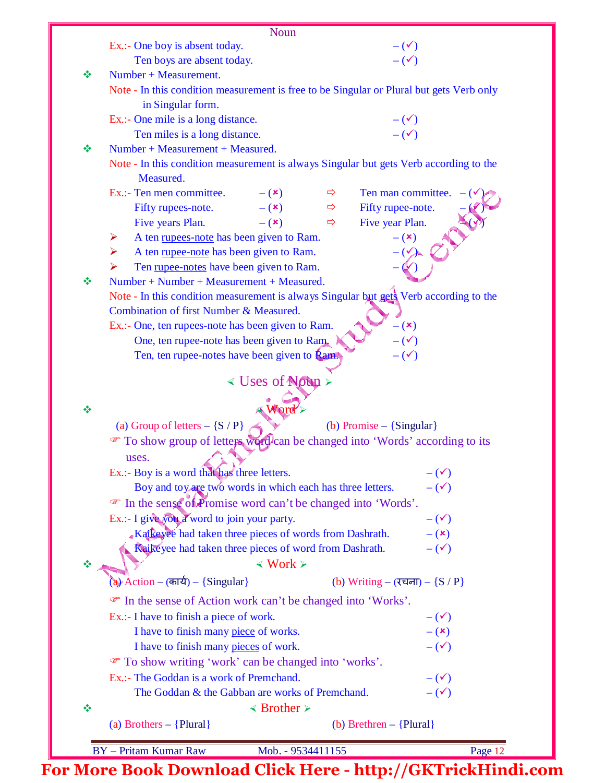|   | <b>Noun</b>                                                                              |                                     |         |
|---|------------------------------------------------------------------------------------------|-------------------------------------|---------|
|   | Ex.:- One boy is absent today.                                                           | $-(\checkmark)$                     |         |
|   | Ten boys are absent today.                                                               | $-(\checkmark)$                     |         |
| ❖ | Number + Measurement.                                                                    |                                     |         |
|   | Note - In this condition measurement is free to be Singular or Plural but gets Verb only |                                     |         |
|   | in Singular form.                                                                        |                                     |         |
|   | Ex.:- One mile is a long distance.                                                       |                                     |         |
|   | Ten miles is a long distance.                                                            | $-(\checkmark)$<br>$-(\checkmark)$  |         |
| ❖ | Number + Measurement + Measured.                                                         |                                     |         |
|   | Note - In this condition measurement is always Singular but gets Verb according to the   |                                     |         |
|   | Measured.                                                                                |                                     |         |
|   | Ex.:- Ten men committee.<br>$ (x)$                                                       | Ten man committee.<br>$\Rightarrow$ |         |
|   | Fifty rupees-note.<br>$- (x)$                                                            | Fifty rupee-note.<br>$\Rightarrow$  |         |
|   | Five years Plan.<br>$-$ ( $\mathbf{x}$ )                                                 | Five year Plan.<br>$\Rightarrow$    |         |
|   | A ten rupees-note has been given to Ram.<br>➤                                            | $- (x)$                             |         |
|   | A ten rupee-note has been given to Ram.<br>➤                                             |                                     |         |
|   | Ten rupee-notes have been given to Ram.<br>➤                                             |                                     |         |
| ❖ | Number + Number + Measurement + Measured.                                                |                                     |         |
|   | Note - In this condition measurement is always Singular but gets Verb according to the   |                                     |         |
|   | Combination of first Number & Measured.                                                  |                                     |         |
|   | Ex.:- One, ten rupees-note has been given to Ram.                                        | $- (x)$                             |         |
|   | One, ten rupee-note has been given to Ram.                                               | $-(\checkmark)$                     |         |
|   | Ten, ten rupee-notes have been given to <b>Ram.</b>                                      | $ (\checkmark)$                     |         |
|   |                                                                                          |                                     |         |
|   | < Uses of Noun >                                                                         |                                     |         |
|   |                                                                                          |                                     |         |
| 豪 | <b>Word</b>                                                                              |                                     |         |
|   | (a) Group of letters $-$ {S $/$ P}                                                       | (b) Promise $-$ {Singular}          |         |
|   | To show group of letters word/can be changed into 'Words' according to its               |                                     |         |
|   | uses.                                                                                    |                                     |         |
|   | Ex.:- Boy is a word that has three letters.                                              | $-(\checkmark)$                     |         |
|   | Boy and toy are two words in which each has three letters.                               | $-(\checkmark)$                     |         |
|   | The sense of Promise word can't be changed into 'Words'.                                 |                                     |         |
|   | Ex.:- I give you a word to join your party.                                              | $-(\checkmark)$                     |         |
|   | Kaikeyee had taken three pieces of words from Dashrath.                                  | $ (x)$                              |         |
|   | Raikeyee had taken three pieces of word from Dashrath.                                   | $-(\checkmark)$                     |         |
|   | $\langle$ Work $\rangle$                                                                 |                                     |         |
|   | (a) Action - (कार्य) - {Singular}                                                        | (b) Writing – (रचना) – ${S / P}$    |         |
|   | • In the sense of Action work can't be changed into 'Works'.                             |                                     |         |
|   | Ex.:- I have to finish a piece of work.                                                  | $-(\checkmark)$                     |         |
|   | I have to finish many piece of works.                                                    | $-$ ( $\mathbf{x})$                 |         |
|   | I have to finish many pieces of work.                                                    | $-$ ( $\checkmark$ )                |         |
|   | To show writing 'work' can be changed into 'works'.                                      |                                     |         |
|   | Ex.:- The Goddan is a work of Premchand.                                                 | $-(\checkmark)$                     |         |
|   | The Goddan & the Gabban are works of Premchand.                                          | $-(\checkmark)$                     |         |
|   |                                                                                          |                                     |         |
| 豪 | $\triangleleft$ Brother $\triangleright$                                                 |                                     |         |
|   | (a) Brothers $-$ {Plural}                                                                | (b) Brethren $-$ {Plural}           |         |
|   | <b>BY</b> - Pritam Kumar Raw                                                             | Mob. - 9534411155                   | Page 12 |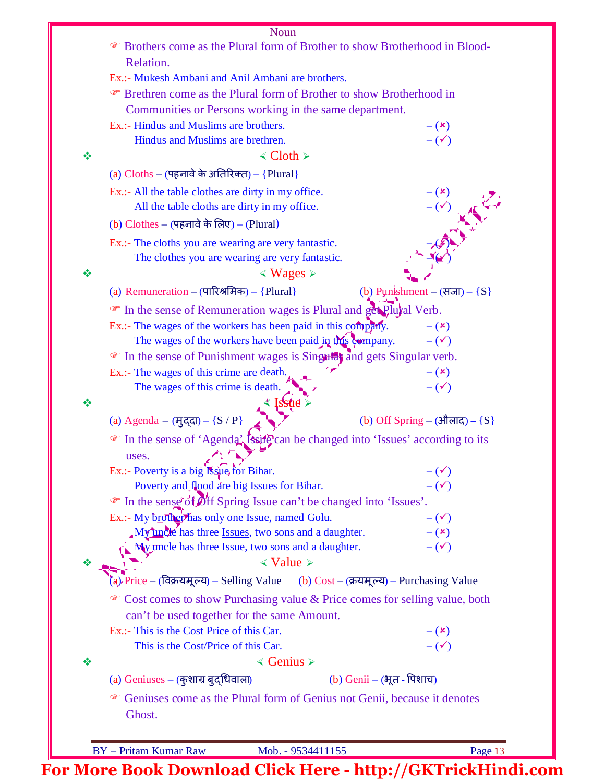|   | Noun                                                                                  |
|---|---------------------------------------------------------------------------------------|
|   | The Brothers come as the Plural form of Brother to show Brotherhood in Blood-         |
|   | Relation.                                                                             |
|   | Ex.:- Mukesh Ambani and Anil Ambani are brothers.                                     |
|   | <b>Example 3</b> Frethren come as the Plural form of Brother to show Brotherhood in   |
|   | Communities or Persons working in the same department.                                |
|   | Ex.:- Hindus and Muslims are brothers.<br>$ (x)$                                      |
|   | $-(\checkmark)$<br>Hindus and Muslims are brethren.                                   |
| ❖ | $\triangleleft$ Cloth $\triangleright$                                                |
|   | (a) $Cloths - (45)$ नावे के अतिरिक्त) - {Plural}                                      |
|   | Ex.:- All the table clothes are dirty in my office.                                   |
|   | $-(\checkmark)$<br>All the table cloths are dirty in my office.                       |
|   | (b) Clothes – (पहनावे के लिए) – (Plural)                                              |
|   | Ex.:- The cloths you are wearing are very fantastic.                                  |
|   | The clothes you are wearing are very fantastic.                                       |
| ❖ | $\leq$ Wages $\geq$                                                                   |
|   |                                                                                       |
|   | (a) Remuneration – (पारिश्रमिक) – {Plural}<br>(b) Punshment – (सजा) – $\{S\}$         |
|   | • In the sense of Remuneration wages is Plural and get Plural Verb.                   |
|   | Ex.:- The wages of the workers has been paid in this company.<br>$ (x)$               |
|   | The wages of the workers have been paid in this company.<br>$-(\checkmark)$           |
|   | The sense of Punishment wages is Singular and gets Singular verb.                     |
|   | Ex.:- The wages of this crime <u>are</u> death.<br>$- (x)$                            |
|   | $-(\checkmark)$<br>The wages of this crime is death.                                  |
| ❖ | < Issue                                                                               |
|   | (a) Agenda – (मुद्दा) – ${S / P}$<br>(b) Off Spring – (औलाद) – $\{S\}$                |
|   | The sense of 'Agenda' Issue) can be changed into 'Issues' according to its            |
|   | uses.                                                                                 |
|   | Ex.:- Poverty is a big Issue for Bihar.<br>$-(\checkmark)$                            |
|   | Poverty and flood are big Issues for Bihar.<br>$-(\checkmark)$                        |
|   | The sense of Off Spring Issue can't be changed into 'Issues'.                         |
|   | Ex.:- My brother has only one Issue, named Golu.<br>$-(\checkmark)$                   |
|   | My uncle has three Issues, two sons and a daughter.<br>$-$ ( $\mathbf{x})$            |
|   | My uncle has three Issue, two sons and a daughter.<br>$-(\checkmark)$                 |
|   | $\triangleleft$ Value $\triangleright$                                                |
| ❖ |                                                                                       |
|   | (a) Price – (विक्रयमूल्य) – Selling Value (b) Cost – (क्रयमूल्य) – Purchasing Value   |
|   | • Cost comes to show Purchasing value & Price comes for selling value, both           |
|   | can't be used together for the same Amount.                                           |
|   | Ex.:- This is the Cost Price of this Car.<br>$-({\bf x})$                             |
|   | $-(\checkmark)$<br>This is the Cost/Price of this Car.                                |
| ❖ | $\triangleleft$ Genius $\triangleright$                                               |
|   | (b) Genii – (भूत - पिशाच)<br>(a) Geniuses – (कुशाग्र बुद्धिवाला)                      |
|   | <sup>T</sup> Geniuses come as the Plural form of Genius not Genii, because it denotes |
|   | Ghost.                                                                                |
|   |                                                                                       |
|   |                                                                                       |
|   | <b>BY</b> - Pritam Kumar Raw<br>Mob. - 9534411155<br>Page 13                          |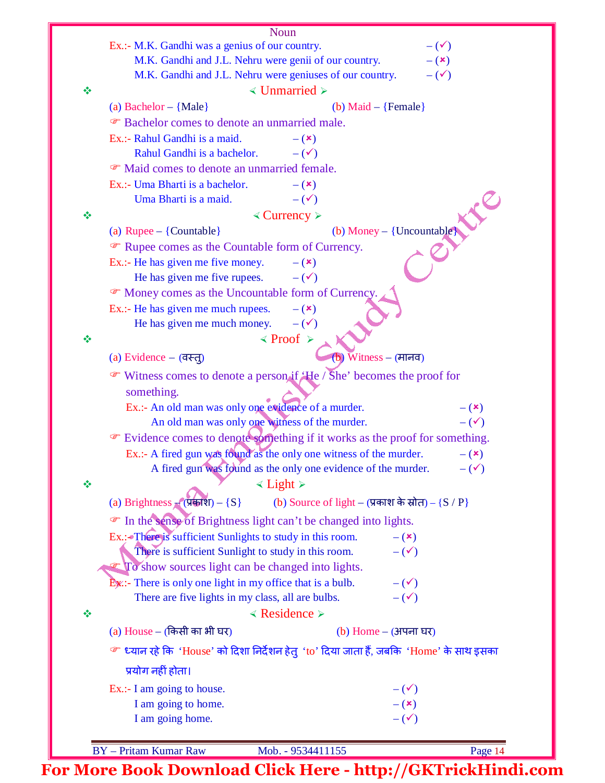| Noun                                                                                                               |                     |
|--------------------------------------------------------------------------------------------------------------------|---------------------|
| Ex.:- M.K. Gandhi was a genius of our country.                                                                     | $-(\checkmark)$     |
| M.K. Gandhi and J.L. Nehru were genii of our country.                                                              | $-$ ( $\mathbf{x})$ |
| M.K. Gandhi and J.L. Nehru were geniuses of our country.                                                           | $-(\checkmark)$     |
| $\triangleleft$ Unmarried $\triangleright$<br>❖                                                                    |                     |
| (a) Bachelor $-$ {Male}<br>(b) Maid $-$ {Female}                                                                   |                     |
| <sup>®</sup> Bachelor comes to denote an unmarried male.                                                           |                     |
| Ex.:- Rahul Gandhi is a maid.<br>$-$ (x)                                                                           |                     |
| Rahul Gandhi is a bachelor.<br>$-(\checkmark)$                                                                     |                     |
| • Maid comes to denote an unmarried female.                                                                        |                     |
| Ex.:- Uma Bharti is a bachelor.<br>$-$ ( $\mathbf{x})$                                                             |                     |
| Uma Bharti is a maid.<br>$-$ ( $\checkmark$ )                                                                      |                     |
| $\triangle$ Currency $\triangleright$<br>豪                                                                         |                     |
| (b) Money – {Uncountable}<br>(a) Rupee $-$ {Countable}                                                             |                     |
| The Rupee comes as the Countable form of Currency.                                                                 |                     |
| Ex.:- He has given me five money.<br>$ (x)$                                                                        |                     |
| He has given me five rupees.<br>$-(\checkmark)$                                                                    |                     |
| • Money comes as the Uncountable form of Currency.                                                                 |                     |
| Ex.:- He has given me much rupees.<br>$ (x)$                                                                       |                     |
| He has given me much money.<br>$-$ ( $\checkmark$ )                                                                |                     |
| $\le$ Proof $\ge$<br>豪                                                                                             |                     |
| (a) Evidence $-$ (वस्तू)<br>(b) Witness – (मानव)                                                                   |                     |
| • Witness comes to denote a person if He / She' becomes the proof for                                              |                     |
| something.                                                                                                         |                     |
| Ex.:- An old man was only one evidence of a murder.                                                                | $-$ ( $\mathbf{x})$ |
| An old man was only one witness of the murder.                                                                     | $-(\checkmark)$     |
| Evidence comes to denote something if it works as the proof for something.                                         |                     |
| Ex.:- A fired gun was found as the only one witness of the murder.                                                 | $-({\bf x})$        |
| A fired gun was found as the only one evidence of the murder.                                                      | $-(\checkmark)$     |
| $\le$ Light $\ge$<br>❖                                                                                             |                     |
| (b) Source of light – (प्रकाश के स्रोत) – ${S / P}$<br>(a) Brightness $\mathcal{L}(\overline{\mathbf{y}}) - \{S\}$ |                     |
|                                                                                                                    |                     |
| The sense of Brightness light can't be changed into lights.                                                        |                     |
| Ex.: There is sufficient Sunlights to study in this room.<br>$-$ ( $\mathbf{x})$                                   |                     |
| There is sufficient Sunlight to study in this room.<br>$-$ ( $\checkmark$ )                                        |                     |
| $\mathcal{F}$ To show sources light can be changed into lights.                                                    |                     |
| $\mathbf{E}$ <i>x</i> : There is only one light in my office that is a bulb.<br>$-(\checkmark)$                    |                     |
| There are five lights in my class, all are bulbs.<br>$-(\checkmark)$                                               |                     |
| $\triangleleft$ Residence $\triangleright$<br>$\frac{1}{2}$                                                        |                     |
| (a) House – (किसी का भी घर)<br>(b) Home $-$ (अपना घर)                                                              |                     |
| ☞ ध्यान रहे कि 'House' को दिशा निर्देशन हेतु'to' दिया जाता हैं, जबकि 'Home' के साथ इसका                            |                     |
| प्रयोग नहीं होता।                                                                                                  |                     |
| Ex.:- I am going to house.<br>$-(\checkmark)$                                                                      |                     |
| I am going to home.<br>$-$ ( $\mathbf{x})$                                                                         |                     |
| $-(\checkmark)$<br>I am going home.                                                                                |                     |
|                                                                                                                    |                     |
| <b>BY</b> - Pritam Kumar Raw<br>Mob. - 9534411155                                                                  | Page 14             |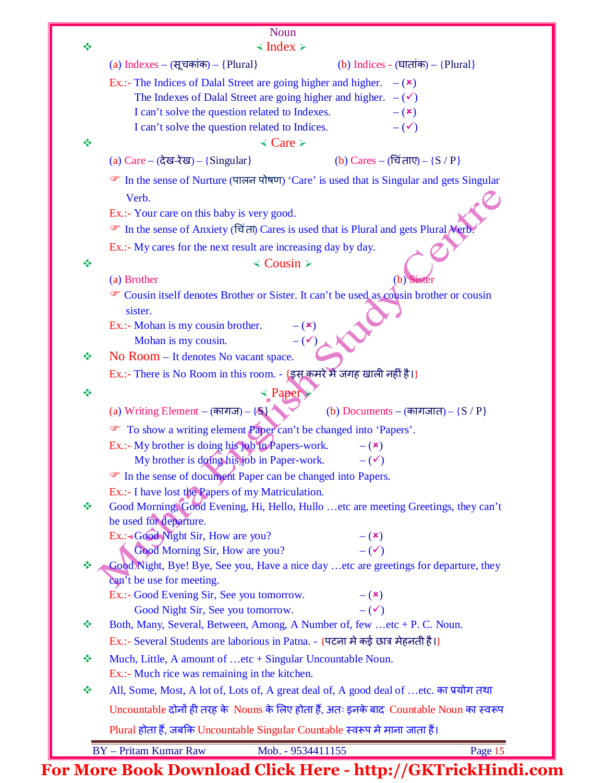| ❖ | Noun<br>$\triangleleft$ Index $\triangleright$                                                                |  |  |  |  |  |  |  |
|---|---------------------------------------------------------------------------------------------------------------|--|--|--|--|--|--|--|
|   | (a) Indexes – $(\overline{R})$ चकांक) – {Plural}<br>(b) Indices - (घातांक) – {Plural}                         |  |  |  |  |  |  |  |
|   | Ex.:- The Indices of Dalal Street are going higher and higher.<br>$ (x)$                                      |  |  |  |  |  |  |  |
|   | The Indexes of Dalal Street are going higher and higher. $-(\checkmark)$                                      |  |  |  |  |  |  |  |
|   | I can't solve the question related to Indexes.<br>$ (x)$                                                      |  |  |  |  |  |  |  |
|   | $-(\checkmark)$<br>I can't solve the question related to Indices.                                             |  |  |  |  |  |  |  |
| 豪 | $\triangleleft$ Care $\triangleright$                                                                         |  |  |  |  |  |  |  |
|   | (a) $Care - (d\overline{d} = d) - {Singular}$<br>(b) Cares – (चिं ताए) – ${S / P}$                            |  |  |  |  |  |  |  |
|   | • In the sense of Nurture (पालन पोषण) 'Care' is used that is Singular and gets Singular                       |  |  |  |  |  |  |  |
|   | Verb.                                                                                                         |  |  |  |  |  |  |  |
|   | Ex.:- Your care on this baby is very good.                                                                    |  |  |  |  |  |  |  |
|   | • In the sense of Anxiety (चिंता) Cares is used that is Plural and gets Plural Nerb.                          |  |  |  |  |  |  |  |
|   | Ex.:- My cares for the next result are increasing day by day.                                                 |  |  |  |  |  |  |  |
| ❖ | $\triangleleft$ Cousin $\triangleright$                                                                       |  |  |  |  |  |  |  |
|   | (a) Brother<br>(b) Sister                                                                                     |  |  |  |  |  |  |  |
|   | Cousin itself denotes Brother or Sister. It can't be used as cousin brother or cousin<br>sister.              |  |  |  |  |  |  |  |
|   | Ex.:- Mohan is my cousin brother.<br>$- (x)$                                                                  |  |  |  |  |  |  |  |
|   | $-(\checkmark)$<br>Mohan is my cousin.                                                                        |  |  |  |  |  |  |  |
| ❖ | No Room – It denotes No vacant space.                                                                         |  |  |  |  |  |  |  |
|   | Ex.:- There is No Room in this room. - {इस कमरे में जगह खाली नहीं है।}                                        |  |  |  |  |  |  |  |
| ❖ | < Paper                                                                                                       |  |  |  |  |  |  |  |
|   | (a) Writing Element – (कागज) – $\{\$\}$<br>(b) Documents – (कागजात) – ${S / P}$                               |  |  |  |  |  |  |  |
|   | To show a writing element Paper can't be changed into 'Papers'.                                               |  |  |  |  |  |  |  |
|   | Ex.:- My brother is doing his job in Papers-work.<br>$ (x)$                                                   |  |  |  |  |  |  |  |
|   | My brother is doing his job in Paper-work.<br>$-(\checkmark)$                                                 |  |  |  |  |  |  |  |
|   | The sense of document Paper can be changed into Papers.                                                       |  |  |  |  |  |  |  |
| ❖ | Ex.:- I have lost the Papers of my Matriculation.                                                             |  |  |  |  |  |  |  |
|   | Good Morning, Good Evening, Hi, Hello, Hullo  etc are meeting Greetings, they can't<br>be used for departure. |  |  |  |  |  |  |  |
|   | Ex.:+Good Night Sir, How are you?<br>$ (x)$                                                                   |  |  |  |  |  |  |  |
|   | Good Morning Sir, How are you?<br>$-$ ( $\checkmark$ )                                                        |  |  |  |  |  |  |  |
| 豪 | Good Night, Bye! Bye, See you, Have a nice day  etc are greetings for departure, they                         |  |  |  |  |  |  |  |
|   | can't be use for meeting.                                                                                     |  |  |  |  |  |  |  |
|   | Ex.:- Good Evening Sir, See you tomorrow.<br>$-$ ( $\mathbf{x}$ )<br>$-$ ( $\checkmark$ )                     |  |  |  |  |  |  |  |
| ❖ | Good Night Sir, See you tomorrow.<br>Both, Many, Several, Between, Among, A Number of, few etc + P. C. Noun.  |  |  |  |  |  |  |  |
|   | Ex.:- Several Students are laborious in Patna. - {पटना मे कई छात्र मेहनती है।}                                |  |  |  |  |  |  |  |
| ❖ | Much, Little, A amount of etc + Singular Uncountable Noun.                                                    |  |  |  |  |  |  |  |
|   | Ex.:- Much rice was remaining in the kitchen.                                                                 |  |  |  |  |  |  |  |
| ❖ | All, Some, Most, A lot of, Lots of, A great deal of, A good deal of  etc. का प्रयोग तथा                       |  |  |  |  |  |  |  |
|   | Uncountable दोनों ही तरह के Nouns के लिए होता हैं, अतः इनके बाद Countable Noun का स्वरूप                      |  |  |  |  |  |  |  |
|   | Plural होता हैं, जबकि Uncountable Singular Countable स्वरूप मे माना जाता हैं।                                 |  |  |  |  |  |  |  |
|   | <b>BY</b> - Pritam Kumar Raw<br>Mob. - 9534411155<br>Page 15                                                  |  |  |  |  |  |  |  |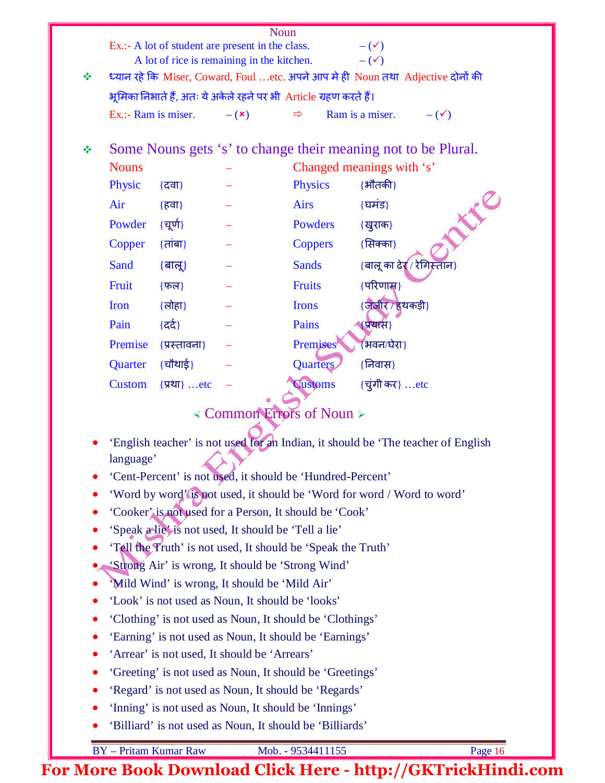| Noun      |                                                                                                                                      |                              |                                                              |                           |                                                                                   |  |  |  |  |
|-----------|--------------------------------------------------------------------------------------------------------------------------------------|------------------------------|--------------------------------------------------------------|---------------------------|-----------------------------------------------------------------------------------|--|--|--|--|
|           | Ex.:- A lot of student are present in the class.<br>$-(\checkmark)$<br>A lot of rice is remaining in the kitchen.<br>$-(\checkmark)$ |                              |                                                              |                           |                                                                                   |  |  |  |  |
| ❖         |                                                                                                                                      |                              |                                                              |                           | ध्यान रहे कि Miser, Coward, Foul etc. अपने आप मे ही Noun तथा Adjective दोनों की   |  |  |  |  |
|           | भूमिका निभाते हैं, अतः ये अकेले रहने पर भी Article ग्रहण करते हैं।                                                                   |                              |                                                              |                           |                                                                                   |  |  |  |  |
|           | Ex.:- Ram is miser.                                                                                                                  |                              | $- (x)$                                                      | $\Rightarrow$             | Ram is a miser.<br>$-(\checkmark)$                                                |  |  |  |  |
|           |                                                                                                                                      |                              |                                                              |                           |                                                                                   |  |  |  |  |
| ❖         | Some Nouns gets 's' to change their meaning not to be Plural.                                                                        |                              |                                                              |                           |                                                                                   |  |  |  |  |
|           | <b>Nouns</b>                                                                                                                         |                              |                                                              | Changed meanings with 's' |                                                                                   |  |  |  |  |
|           | Physic                                                                                                                               | {दवा}                        |                                                              | <b>Physics</b>            | $\{$ भौतकी}                                                                       |  |  |  |  |
|           | Air                                                                                                                                  | {हवा}                        |                                                              | <b>Airs</b>               | {घमंड}                                                                            |  |  |  |  |
|           | Powder                                                                                                                               | {चूर्ण}                      |                                                              | Powders                   | LIC<br>{खुराक}                                                                    |  |  |  |  |
|           | Copper                                                                                                                               | $\{$ तांबा $\}$              |                                                              | <b>Coppers</b>            | {सिक्का}                                                                          |  |  |  |  |
|           | Sand                                                                                                                                 | $\{$ बालू $\}$               |                                                              | <b>Sands</b>              | {बालू का ढेर्( / रेगिस्ताँन}                                                      |  |  |  |  |
|           | Fruit                                                                                                                                | $\overline{\mathcal{F}}$ फल} |                                                              | <b>Fruits</b>             | $\{$ परिणाम्न}                                                                    |  |  |  |  |
|           | Iron                                                                                                                                 | {लोहा}                       |                                                              | <b>Irons</b>              | {जीबीर / हथकड़ी}                                                                  |  |  |  |  |
|           | Pain                                                                                                                                 | {दर्द}                       |                                                              | Pains                     | <mark>(प्रया</mark> स)                                                            |  |  |  |  |
|           | Premise                                                                                                                              | {प्रस्तावना}                 |                                                              | <b>Premises</b>           | ∤भवन⁄घेरा }                                                                       |  |  |  |  |
|           | Quarter                                                                                                                              | {चौथाई}                      |                                                              | <b>Quarters</b>           | {निवास}                                                                           |  |  |  |  |
|           | <b>Custom</b>                                                                                                                        | {प्रथा} etc                  |                                                              | <b>Customs</b>            | {चुंगी कर} etc                                                                    |  |  |  |  |
|           |                                                                                                                                      |                              |                                                              |                           |                                                                                   |  |  |  |  |
|           |                                                                                                                                      |                              | < Common Errors of Noun >                                    |                           |                                                                                   |  |  |  |  |
|           |                                                                                                                                      |                              |                                                              |                           | 'English teacher' is not used for an Indian, it should be 'The teacher of English |  |  |  |  |
|           | language'                                                                                                                            |                              |                                                              |                           |                                                                                   |  |  |  |  |
| $\bullet$ |                                                                                                                                      |                              | 'Cent-Percent' is not used, it should be 'Hundred-Percent'   |                           |                                                                                   |  |  |  |  |
|           |                                                                                                                                      |                              |                                                              |                           | 'Word by word' is not used, it should be 'Word for word / Word to word'           |  |  |  |  |
| $\bullet$ |                                                                                                                                      |                              | 'Cooker' is not used for a Person, It should be 'Cook'       |                           |                                                                                   |  |  |  |  |
| $\bullet$ |                                                                                                                                      |                              | 'Speak a lie' is not used, It should be 'Tell a lie'         |                           |                                                                                   |  |  |  |  |
|           |                                                                                                                                      |                              | 'Téll the Truth' is not used, It should be 'Speak the Truth' |                           |                                                                                   |  |  |  |  |
|           |                                                                                                                                      |                              | 'Strong Air' is wrong, It should be 'Strong Wind'            |                           |                                                                                   |  |  |  |  |
|           | "Mild Wind' is wrong, It should be 'Mild Air'                                                                                        |                              |                                                              |                           |                                                                                   |  |  |  |  |
| $\bullet$ | 'Look' is not used as Noun, It should be 'looks'                                                                                     |                              |                                                              |                           |                                                                                   |  |  |  |  |
| $\bullet$ | 'Clothing' is not used as Noun, It should be 'Clothings'                                                                             |                              |                                                              |                           |                                                                                   |  |  |  |  |
| $\bullet$ | 'Earning' is not used as Noun, It should be 'Earnings'                                                                               |                              |                                                              |                           |                                                                                   |  |  |  |  |
| $\bullet$ | 'Arrear' is not used, It should be 'Arrears'                                                                                         |                              |                                                              |                           |                                                                                   |  |  |  |  |
| $\bullet$ | 'Greeting' is not used as Noun, It should be 'Greetings'                                                                             |                              |                                                              |                           |                                                                                   |  |  |  |  |
|           | 'Regard' is not used as Noun, It should be 'Regards'                                                                                 |                              |                                                              |                           |                                                                                   |  |  |  |  |

- 'Inning' is not used as Noun, It should be 'Innings'
- 'Billiard' is not used as Noun, It should be 'Billiards'

BY – Pritam Kumar Raw Mob. - 9534411155 Page 16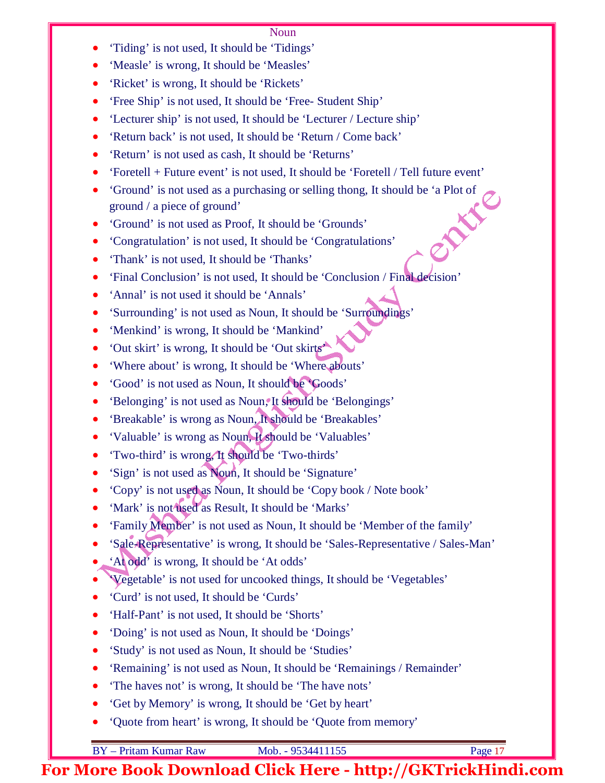## Noun

- 'Tiding' is not used, It should be 'Tidings'
- 'Measle' is wrong, It should be 'Measles'
- 'Ricket' is wrong, It should be 'Rickets'
- 'Free Ship' is not used, It should be 'Free- Student Ship'
- 'Lecturer ship' is not used, It should be 'Lecturer / Lecture ship'
- 'Return back' is not used, It should be 'Return / Come back'
- 'Return' is not used as cash, It should be 'Returns'
- 'Foretell + Future event' is not used, It should be 'Foretell / Tell future event'
- 'Ground' is not used as a purchasing or selling thong, It should be 'a Plot of ground / a piece of ground'<br>'Ground' is not used as Proof, It should be 'Grounde'<br>'Congratulation' is ground / a piece of ground'
- 'Ground' is not used as Proof, It should be 'Grounds'
- 'Congratulation' is not used, It should be 'Congratulations'
- 'Thank' is not used, It should be 'Thanks'
- 'Final Conclusion' is not used, It should be 'Conclusion / Final decision'
- 'Annal' is not used it should be 'Annals'
- 'Surrounding' is not used as Noun, It should be 'Surroundings'
- 'Menkind' is wrong, It should be 'Mankind'
- 'Out skirt' is wrong, It should be 'Out skirts'
- 'Where about' is wrong, It should be 'Where abouts'
- 'Good' is not used as Noun, It should be 'Goods'
- 'Belonging' is not used as Noun,<sup>o</sup>It should be 'Belongings'
- 'Breakable' is wrong as Noun, It should be 'Breakables'
- 'Valuable' is wrong as Noun, It should be 'Valuables'
- 'Two-third' is wrong, It should be 'Two-thirds'
- 'Sign' is not used as Noun, It should be 'Signature'
- 'Copy' is not used as Noun, It should be 'Copy book / Note book'
- 'Mark' is not used as Result, It should be 'Marks'
- 'Family Member' is not used as Noun, It should be 'Member of the family'
- 'Sale-Representative' is wrong, It should be 'Sales-Representative / Sales-Man'
- 'At odd' is wrong, It should be 'At odds'
- 'Vegetable' is not used for uncooked things, It should be 'Vegetables'
- 'Curd' is not used, It should be 'Curds'
- 'Half-Pant' is not used, It should be 'Shorts'
- 'Doing' is not used as Noun, It should be 'Doings'
- 'Study' is not used as Noun, It should be 'Studies'
- 'Remaining' is not used as Noun, It should be 'Remainings / Remainder'
- 'The haves not' is wrong, It should be 'The have nots'
- 'Get by Memory' is wrong, It should be 'Get by heart'
- 'Quote from heart' is wrong, It should be 'Quote from memory'

BY – Pritam Kumar Raw Mob. - 9534411155 Page 17